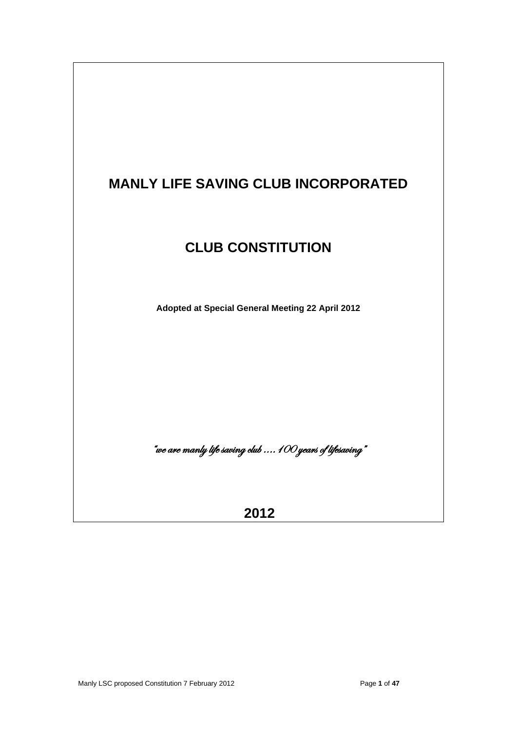

 **2012**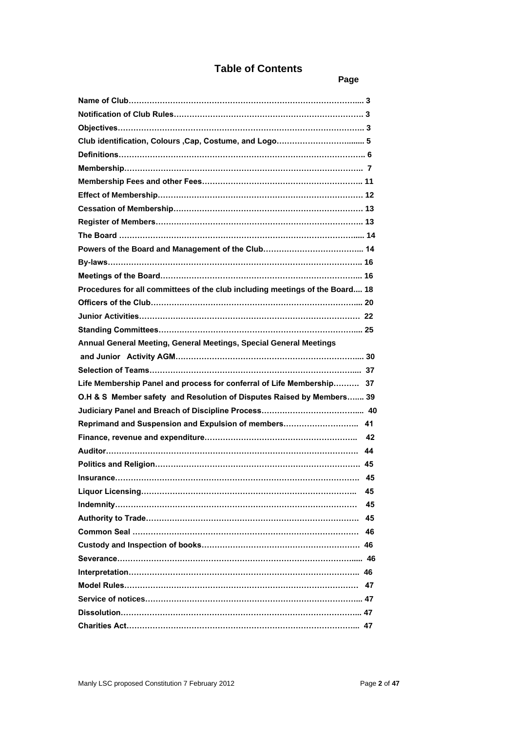# **Table of Contents**

**Page 2016 Page 2016 Page 2016** 

| Procedures for all committees of the club including meetings of the Board 18 |    |
|------------------------------------------------------------------------------|----|
|                                                                              |    |
|                                                                              |    |
|                                                                              |    |
| Annual General Meeting, General Meetings, Special General Meetings           |    |
|                                                                              |    |
|                                                                              |    |
| Life Membership Panel and process for conferral of Life Membership 37        |    |
| O.H & S Member safety and Resolution of Disputes Raised by Members 39        |    |
|                                                                              |    |
| Reprimand and Suspension and Expulsion of members 41                         |    |
|                                                                              |    |
|                                                                              |    |
|                                                                              |    |
|                                                                              |    |
|                                                                              | 45 |
|                                                                              | 45 |
|                                                                              | 45 |
|                                                                              | 45 |
|                                                                              | 46 |
|                                                                              |    |
|                                                                              |    |
|                                                                              |    |
|                                                                              |    |
|                                                                              |    |
|                                                                              |    |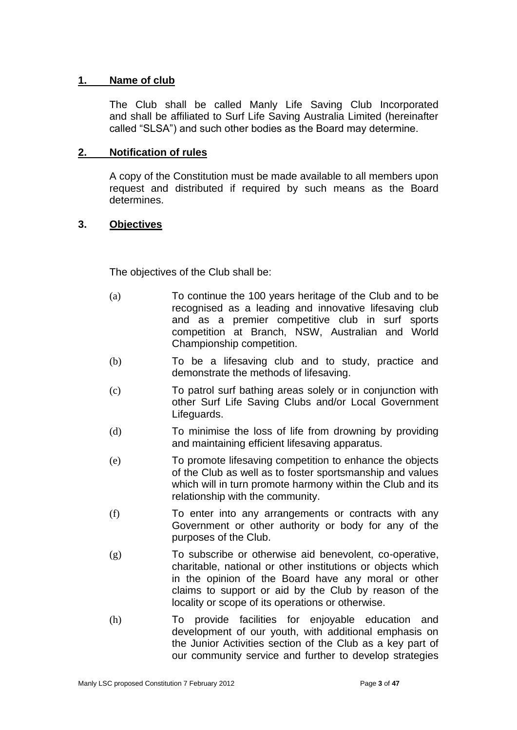# **1. Name of club**

The Club shall be called Manly Life Saving Club Incorporated and shall be affiliated to Surf Life Saving Australia Limited (hereinafter called "SLSA") and such other bodies as the Board may determine.

### **2. Notification of rules**

A copy of the Constitution must be made available to all members upon request and distributed if required by such means as the Board determines.

# **3. Objectives**

The objectives of the Club shall be:

- (a) To continue the 100 years heritage of the Club and to be recognised as a leading and innovative lifesaving club and as a premier competitive club in surf sports competition at Branch, NSW, Australian and World Championship competition.
- (b) To be a lifesaving club and to study, practice and demonstrate the methods of lifesaving.
- (c) To patrol surf bathing areas solely or in conjunction with other Surf Life Saving Clubs and/or Local Government Lifeguards.
- (d) To minimise the loss of life from drowning by providing and maintaining efficient lifesaving apparatus.
- (e) To promote lifesaving competition to enhance the objects of the Club as well as to foster sportsmanship and values which will in turn promote harmony within the Club and its relationship with the community.
- (f) To enter into any arrangements or contracts with any Government or other authority or body for any of the purposes of the Club.
- (g) To subscribe or otherwise aid benevolent, co-operative, charitable, national or other institutions or objects which in the opinion of the Board have any moral or other claims to support or aid by the Club by reason of the locality or scope of its operations or otherwise.
- (h) To provide facilities for enjoyable education and development of our youth, with additional emphasis on the Junior Activities section of the Club as a key part of our community service and further to develop strategies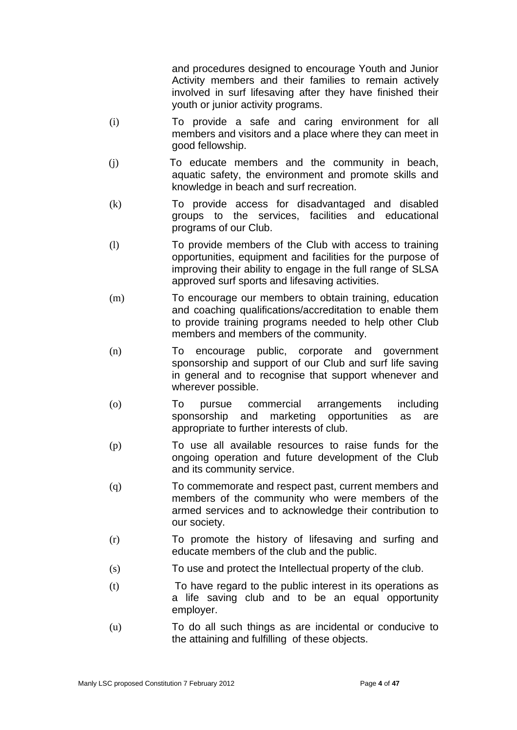and procedures designed to encourage Youth and Junior Activity members and their families to remain actively involved in surf lifesaving after they have finished their youth or junior activity programs.

- (i) To provide a safe and caring environment for all members and visitors and a place where they can meet in good fellowship.
- (j) To educate members and the community in beach, aquatic safety, the environment and promote skills and knowledge in beach and surf recreation.
- (k) To provide access for disadvantaged and disabled groups to the services, facilities and educational programs of our Club.
- (l) To provide members of the Club with access to training opportunities, equipment and facilities for the purpose of improving their ability to engage in the full range of SLSA approved surf sports and lifesaving activities.
- (m) To encourage our members to obtain training, education and coaching qualifications/accreditation to enable them to provide training programs needed to help other Club members and members of the community.
- (n) To encourage public, corporate and government sponsorship and support of our Club and surf life saving in general and to recognise that support whenever and wherever possible.
- (o) To pursue commercial arrangements including sponsorship and marketing opportunities as are appropriate to further interests of club.
- (p) To use all available resources to raise funds for the ongoing operation and future development of the Club and its community service.
- (q) To commemorate and respect past, current members and members of the community who were members of the armed services and to acknowledge their contribution to our society.
- (r) To promote the history of lifesaving and surfing and educate members of the club and the public.
- (s) To use and protect the Intellectual property of the club.
- (t) To have regard to the public interest in its operations as a life saving club and to be an equal opportunity employer.
- (u) To do all such things as are incidental or conducive to the attaining and fulfilling of these objects.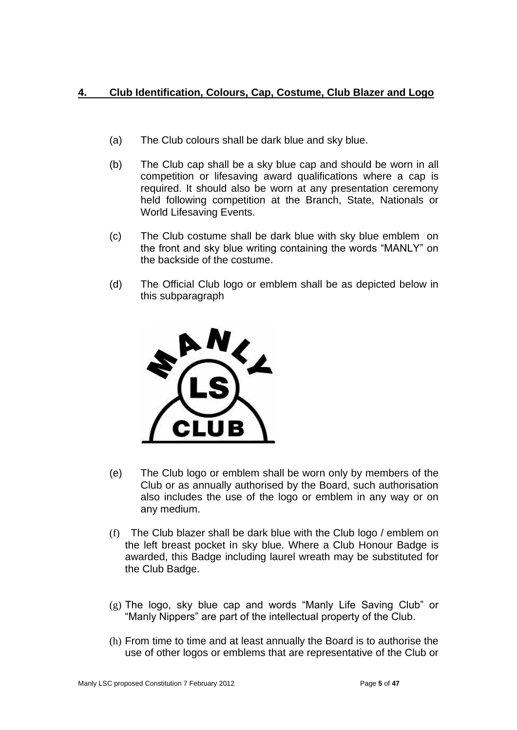# **4. Club Identification, Colours, Cap, Costume, Club Blazer and Logo**

- (a) The Club colours shall be dark blue and sky blue.
- (b) The Club cap shall be a sky blue cap and should be worn in all competition or lifesaving award qualifications where a cap is required. It should also be worn at any presentation ceremony held following competition at the Branch, State, Nationals or World Lifesaving Events.
- (c) The Club costume shall be dark blue with sky blue emblem on the front and sky blue writing containing the words "MANLY" on the backside of the costume.
- (d) The Official Club logo or emblem shall be as depicted below in this subparagraph



- (e) The Club logo or emblem shall be worn only by members of the Club or as annually authorised by the Board, such authorisation also includes the use of the logo or emblem in any way or on any medium.
- (f) The Club blazer shall be dark blue with the Club logo / emblem on the left breast pocket in sky blue. Where a Club Honour Badge is awarded, this Badge including laurel wreath may be substituted for the Club Badge.
- (g) The logo, sky blue cap and words "Manly Life Saving Club" or "Manly Nippers" are part of the intellectual property of the Club.
- (h) From time to time and at least annually the Board is to authorise the use of other logos or emblems that are representative of the Club or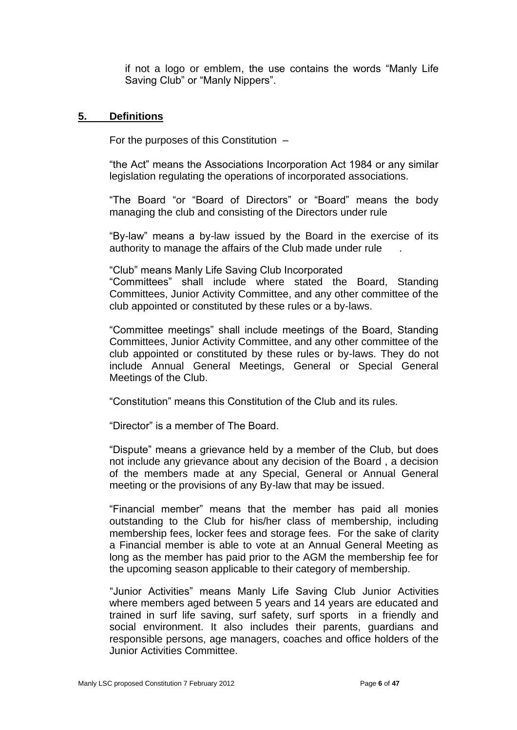if not a logo or emblem, the use contains the words "Manly Life Saving Club" or "Manly Nippers".

#### **5. Definitions**

For the purposes of this Constitution –

"the Act" means the Associations Incorporation Act 1984 or any similar legislation regulating the operations of incorporated associations.

"The Board "or "Board of Directors" or "Board" means the body managing the club and consisting of the Directors under rule

"By-law" means a by-law issued by the Board in the exercise of its authority to manage the affairs of the Club made under rule .

"Club" means Manly Life Saving Club Incorporated

"Committees" shall include where stated the Board, Standing Committees, Junior Activity Committee, and any other committee of the club appointed or constituted by these rules or a by-laws.

"Committee meetings" shall include meetings of the Board, Standing Committees, Junior Activity Committee, and any other committee of the club appointed or constituted by these rules or by-laws. They do not include Annual General Meetings, General or Special General Meetings of the Club.

"Constitution" means this Constitution of the Club and its rules.

"Director" is a member of The Board.

"Dispute" means a grievance held by a member of the Club, but does not include any grievance about any decision of the Board , a decision of the members made at any Special, General or Annual General meeting or the provisions of any By-law that may be issued.

"Financial member" means that the member has paid all monies outstanding to the Club for his/her class of membership, including membership fees, locker fees and storage fees. For the sake of clarity a Financial member is able to vote at an Annual General Meeting as long as the member has paid prior to the AGM the membership fee for the upcoming season applicable to their category of membership.

"Junior Activities" means Manly Life Saving Club Junior Activities where members aged between 5 years and 14 years are educated and trained in surf life saving, surf safety, surf sports in a friendly and social environment. It also includes their parents, guardians and responsible persons, age managers, coaches and office holders of the Junior Activities Committee.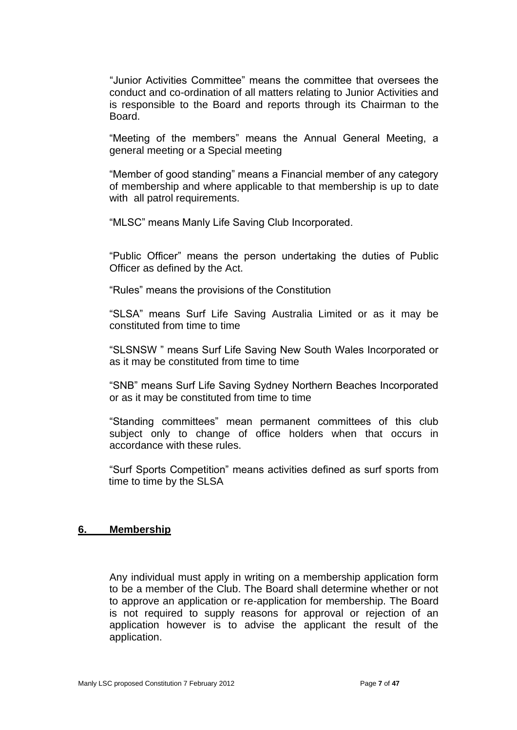"Junior Activities Committee" means the committee that oversees the conduct and co-ordination of all matters relating to Junior Activities and is responsible to the Board and reports through its Chairman to the Board.

"Meeting of the members" means the Annual General Meeting, a general meeting or a Special meeting

"Member of good standing" means a Financial member of any category of membership and where applicable to that membership is up to date with all patrol requirements.

"MLSC" means Manly Life Saving Club Incorporated.

"Public Officer" means the person undertaking the duties of Public Officer as defined by the Act.

"Rules" means the provisions of the Constitution

"SLSA" means Surf Life Saving Australia Limited or as it may be constituted from time to time

"SLSNSW " means Surf Life Saving New South Wales Incorporated or as it may be constituted from time to time

"SNB" means Surf Life Saving Sydney Northern Beaches Incorporated or as it may be constituted from time to time

"Standing committees" mean permanent committees of this club subject only to change of office holders when that occurs in accordance with these rules.

"Surf Sports Competition" means activities defined as surf sports from time to time by the SLSA

#### **6. Membership**

Any individual must apply in writing on a membership application form to be a member of the Club. The Board shall determine whether or not to approve an application or re-application for membership. The Board is not required to supply reasons for approval or rejection of an application however is to advise the applicant the result of the application.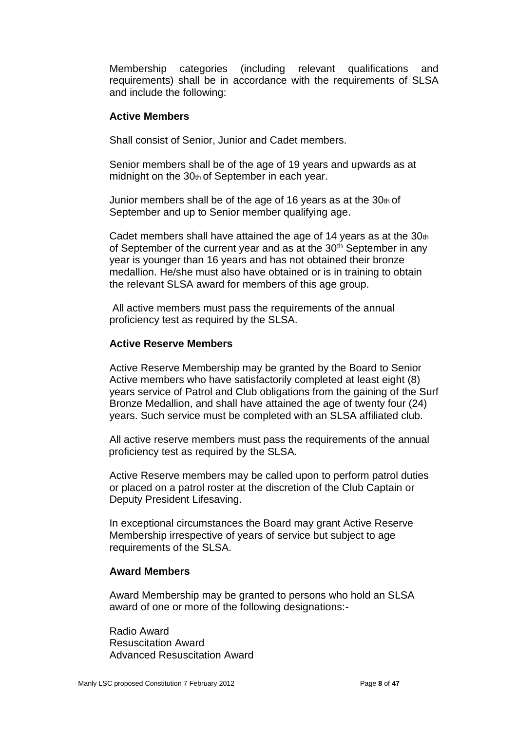Membership categories (including relevant qualifications and requirements) shall be in accordance with the requirements of SLSA and include the following:

#### **Active Members**

Shall consist of Senior, Junior and Cadet members.

Senior members shall be of the age of 19 years and upwards as at midnight on the 30th of September in each year.

Junior members shall be of the age of 16 years as at the  $30<sub>th</sub>$  of September and up to Senior member qualifying age.

Cadet members shall have attained the age of 14 years as at the 30th of September of the current year and as at the 30<sup>th</sup> September in any year is younger than 16 years and has not obtained their bronze medallion. He/she must also have obtained or is in training to obtain the relevant SLSA award for members of this age group.

All active members must pass the requirements of the annual proficiency test as required by the SLSA.

#### **Active Reserve Members**

Active Reserve Membership may be granted by the Board to Senior Active members who have satisfactorily completed at least eight (8) years service of Patrol and Club obligations from the gaining of the Surf Bronze Medallion, and shall have attained the age of twenty four (24) years. Such service must be completed with an SLSA affiliated club.

All active reserve members must pass the requirements of the annual proficiency test as required by the SLSA.

Active Reserve members may be called upon to perform patrol duties or placed on a patrol roster at the discretion of the Club Captain or Deputy President Lifesaving.

In exceptional circumstances the Board may grant Active Reserve Membership irrespective of years of service but subject to age requirements of the SLSA.

#### **Award Members**

Award Membership may be granted to persons who hold an SLSA award of one or more of the following designations:-

Radio Award Resuscitation Award Advanced Resuscitation Award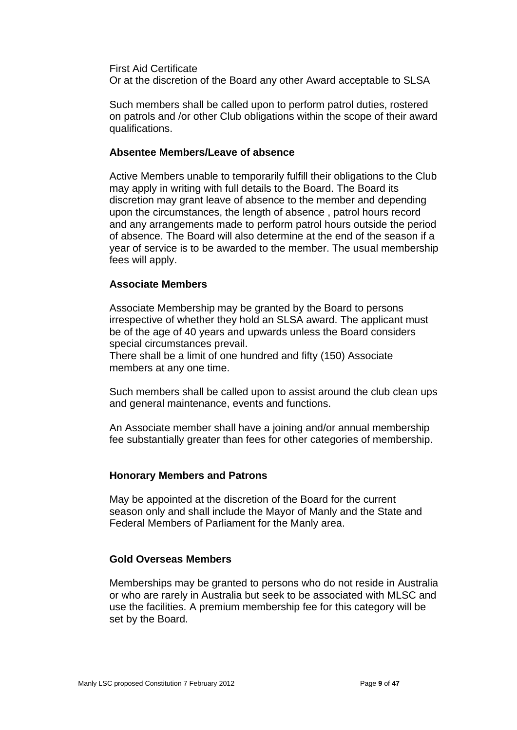First Aid Certificate

Or at the discretion of the Board any other Award acceptable to SLSA

Such members shall be called upon to perform patrol duties, rostered on patrols and /or other Club obligations within the scope of their award qualifications.

#### **Absentee Members/Leave of absence**

Active Members unable to temporarily fulfill their obligations to the Club may apply in writing with full details to the Board. The Board its discretion may grant leave of absence to the member and depending upon the circumstances, the length of absence , patrol hours record and any arrangements made to perform patrol hours outside the period of absence. The Board will also determine at the end of the season if a year of service is to be awarded to the member. The usual membership fees will apply.

#### **Associate Members**

Associate Membership may be granted by the Board to persons irrespective of whether they hold an SLSA award. The applicant must be of the age of 40 years and upwards unless the Board considers special circumstances prevail.

There shall be a limit of one hundred and fifty (150) Associate members at any one time.

Such members shall be called upon to assist around the club clean ups and general maintenance, events and functions.

An Associate member shall have a joining and/or annual membership fee substantially greater than fees for other categories of membership.

#### **Honorary Members and Patrons**

May be appointed at the discretion of the Board for the current season only and shall include the Mayor of Manly and the State and Federal Members of Parliament for the Manly area.

# **Gold Overseas Members**

Memberships may be granted to persons who do not reside in Australia or who are rarely in Australia but seek to be associated with MLSC and use the facilities. A premium membership fee for this category will be set by the Board.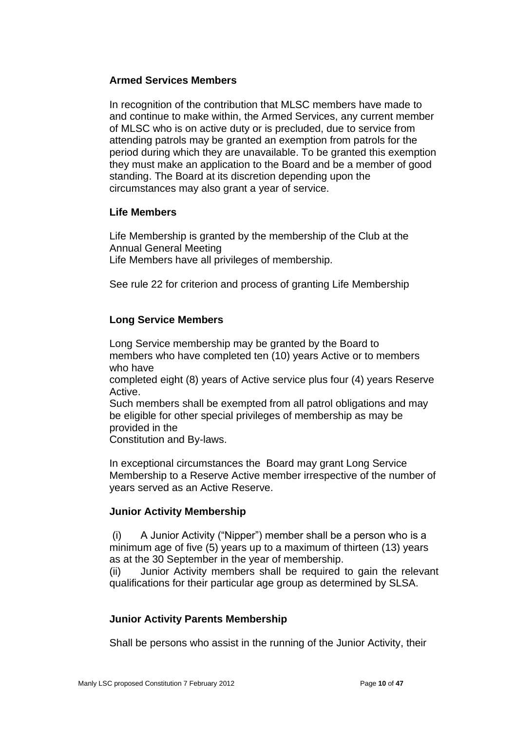# **Armed Services Members**

In recognition of the contribution that MLSC members have made to and continue to make within, the Armed Services, any current member of MLSC who is on active duty or is precluded, due to service from attending patrols may be granted an exemption from patrols for the period during which they are unavailable. To be granted this exemption they must make an application to the Board and be a member of good standing. The Board at its discretion depending upon the circumstances may also grant a year of service.

#### **Life Members**

Life Membership is granted by the membership of the Club at the Annual General Meeting Life Members have all privileges of membership.

See rule 22 for criterion and process of granting Life Membership

# **Long Service Members**

Long Service membership may be granted by the Board to members who have completed ten (10) years Active or to members who have completed eight (8) years of Active service plus four (4) years Reserve Active. Such members shall be exempted from all patrol obligations and may

be eligible for other special privileges of membership as may be provided in the

Constitution and By-laws.

In exceptional circumstances the Board may grant Long Service Membership to a Reserve Active member irrespective of the number of years served as an Active Reserve.

# **Junior Activity Membership**

(i) A Junior Activity ("Nipper") member shall be a person who is a minimum age of five (5) years up to a maximum of thirteen (13) years as at the 30 September in the year of membership.

(ii) Junior Activity members shall be required to gain the relevant qualifications for their particular age group as determined by SLSA.

# **Junior Activity Parents Membership**

Shall be persons who assist in the running of the Junior Activity, their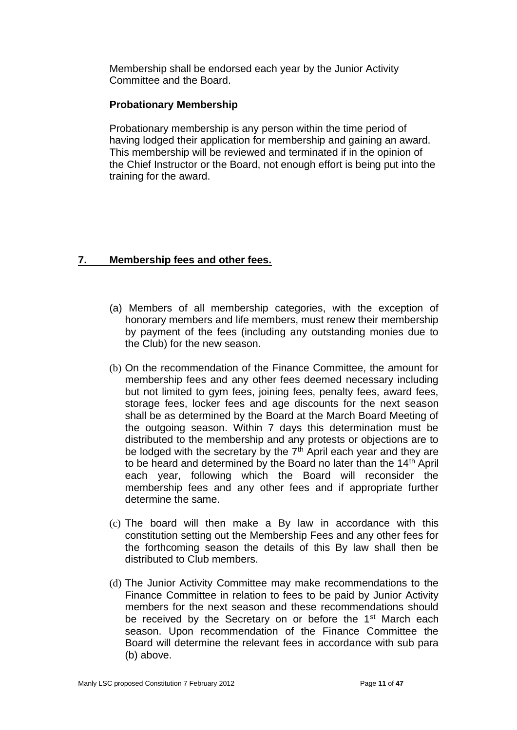Membership shall be endorsed each year by the Junior Activity Committee and the Board.

# **Probationary Membership**

Probationary membership is any person within the time period of having lodged their application for membership and gaining an award. This membership will be reviewed and terminated if in the opinion of the Chief Instructor or the Board, not enough effort is being put into the training for the award.

# **7. Membership fees and other fees.**

- (a) Members of all membership categories, with the exception of honorary members and life members, must renew their membership by payment of the fees (including any outstanding monies due to the Club) for the new season.
- (b) On the recommendation of the Finance Committee, the amount for membership fees and any other fees deemed necessary including but not limited to gym fees, joining fees, penalty fees, award fees, storage fees, locker fees and age discounts for the next season shall be as determined by the Board at the March Board Meeting of the outgoing season. Within 7 days this determination must be distributed to the membership and any protests or objections are to be lodged with the secretary by the  $7<sup>th</sup>$  April each year and they are to be heard and determined by the Board no later than the 14th April each year, following which the Board will reconsider the membership fees and any other fees and if appropriate further determine the same.
- (c) The board will then make a By law in accordance with this constitution setting out the Membership Fees and any other fees for the forthcoming season the details of this By law shall then be distributed to Club members.
- (d) The Junior Activity Committee may make recommendations to the Finance Committee in relation to fees to be paid by Junior Activity members for the next season and these recommendations should be received by the Secretary on or before the 1<sup>st</sup> March each season. Upon recommendation of the Finance Committee the Board will determine the relevant fees in accordance with sub para (b) above.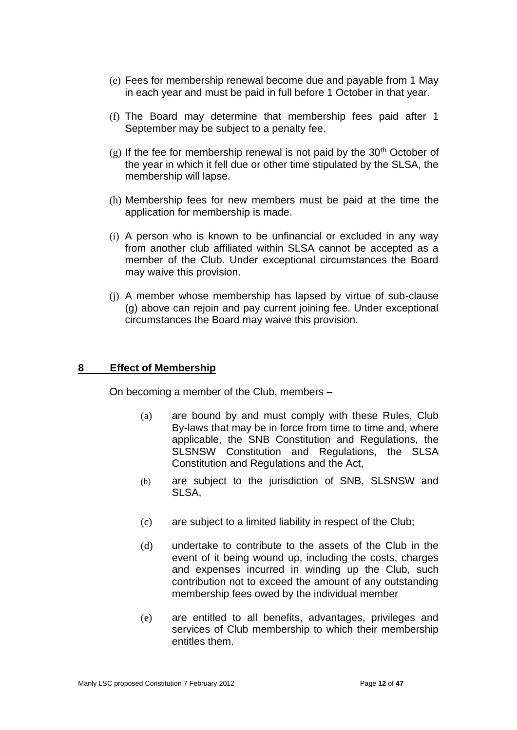- (e) Fees for membership renewal become due and payable from 1 May in each year and must be paid in full before 1 October in that year.
- (f) The Board may determine that membership fees paid after 1 September may be subject to a penalty fee.
- $(g)$  If the fee for membership renewal is not paid by the 30<sup>th</sup> October of the year in which it fell due or other time stipulated by the SLSA, the membership will lapse.
- (h) Membership fees for new members must be paid at the time the application for membership is made.
- (i) A person who is known to be unfinancial or excluded in any way from another club affiliated within SLSA cannot be accepted as a member of the Club. Under exceptional circumstances the Board may waive this provision.
- (j) A member whose membership has lapsed by virtue of sub-clause (g) above can rejoin and pay current joining fee. Under exceptional circumstances the Board may waive this provision.

#### **8 Effect of Membership**

On becoming a member of the Club, members –

- (a) are bound by and must comply with these Rules, Club By-laws that may be in force from time to time and, where applicable, the SNB Constitution and Regulations, the SLSNSW Constitution and Regulations, the SLSA Constitution and Regulations and the Act,
- (b) are subject to the jurisdiction of SNB, SLSNSW and SLSA,
- (c) are subject to a limited liability in respect of the Club;
- (d) undertake to contribute to the assets of the Club in the event of it being wound up, including the costs, charges and expenses incurred in winding up the Club, such contribution not to exceed the amount of any outstanding membership fees owed by the individual member
- (e) are entitled to all benefits, advantages, privileges and services of Club membership to which their membership entitles them.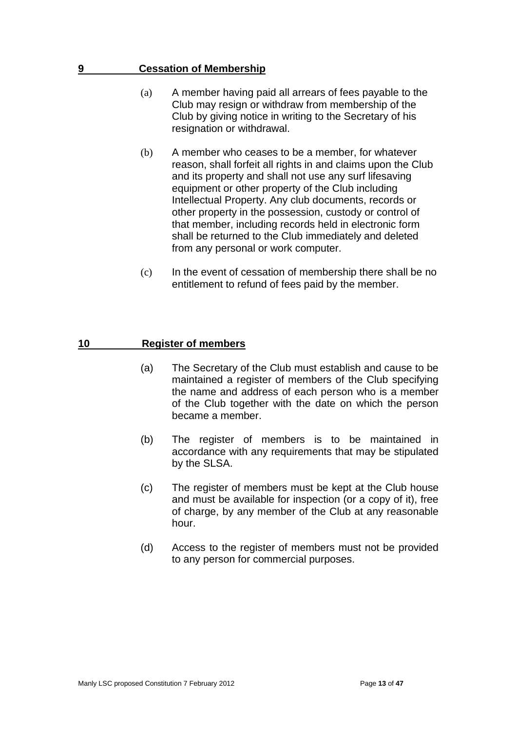#### **9 Cessation of Membership**

- (a) A member having paid all arrears of fees payable to the Club may resign or withdraw from membership of the Club by giving notice in writing to the Secretary of his resignation or withdrawal.
- (b) A member who ceases to be a member, for whatever reason, shall forfeit all rights in and claims upon the Club and its property and shall not use any surf lifesaving equipment or other property of the Club including Intellectual Property. Any club documents, records or other property in the possession, custody or control of that member, including records held in electronic form shall be returned to the Club immediately and deleted from any personal or work computer.
- (c) In the event of cessation of membership there shall be no entitlement to refund of fees paid by the member.

# **10 Register of members**

- (a) The Secretary of the Club must establish and cause to be maintained a register of members of the Club specifying the name and address of each person who is a member of the Club together with the date on which the person became a member.
- (b) The register of members is to be maintained in accordance with any requirements that may be stipulated by the SLSA.
- (c) The register of members must be kept at the Club house and must be available for inspection (or a copy of it), free of charge, by any member of the Club at any reasonable hour.
- (d) Access to the register of members must not be provided to any person for commercial purposes.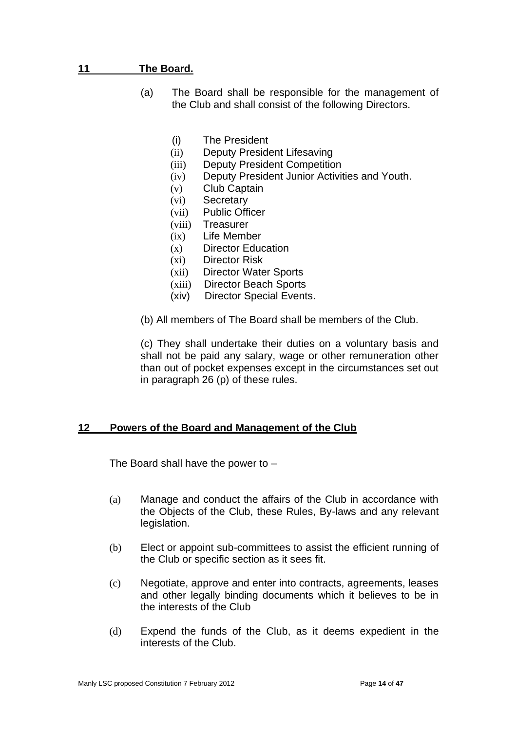# **11 The Board.**

- (a) The Board shall be responsible for the management of the Club and shall consist of the following Directors.
	- (i) The President
	- (ii) Deputy President Lifesaving
	- (iii) Deputy President Competition
	- (iv) Deputy President Junior Activities and Youth.
	- (v) Club Captain
	- (vi) Secretary
	- (vii) Public Officer
	- (viii) Treasurer
	- (ix) Life Member
	- (x) Director Education
	- (xi) Director Risk
	- (xii) Director Water Sports
	- (xiii) Director Beach Sports
	- (xiv) Director Special Events.
- (b) All members of The Board shall be members of the Club.

(c) They shall undertake their duties on a voluntary basis and shall not be paid any salary, wage or other remuneration other than out of pocket expenses except in the circumstances set out in paragraph 26 (p) of these rules.

#### **12 Powers of the Board and Management of the Club**

The Board shall have the power to –

- (a) Manage and conduct the affairs of the Club in accordance with the Objects of the Club, these Rules, By-laws and any relevant legislation.
- (b) Elect or appoint sub-committees to assist the efficient running of the Club or specific section as it sees fit.
- (c) Negotiate, approve and enter into contracts, agreements, leases and other legally binding documents which it believes to be in the interests of the Club
- (d) Expend the funds of the Club, as it deems expedient in the interests of the Club.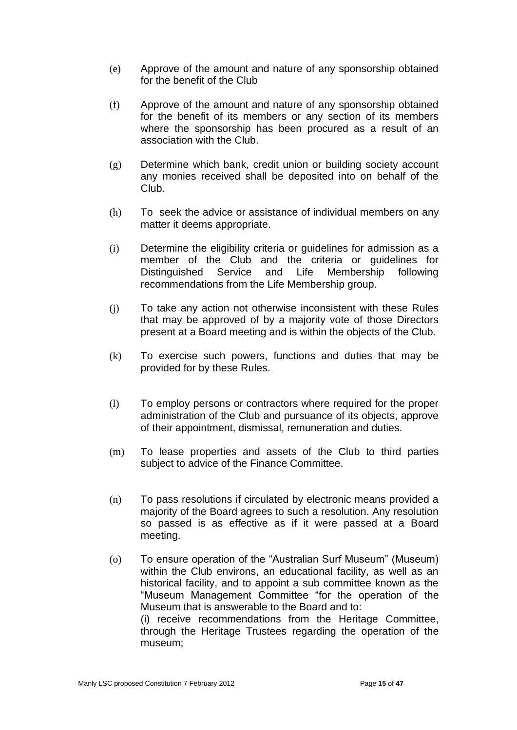- (e) Approve of the amount and nature of any sponsorship obtained for the benefit of the Club
- (f) Approve of the amount and nature of any sponsorship obtained for the benefit of its members or any section of its members where the sponsorship has been procured as a result of an association with the Club.
- (g) Determine which bank, credit union or building society account any monies received shall be deposited into on behalf of the Club.
- (h) To seek the advice or assistance of individual members on any matter it deems appropriate.
- (i) Determine the eligibility criteria or guidelines for admission as a member of the Club and the criteria or guidelines for Distinguished Service and Life Membership following recommendations from the Life Membership group.
- (j) To take any action not otherwise inconsistent with these Rules that may be approved of by a majority vote of those Directors present at a Board meeting and is within the objects of the Club.
- (k) To exercise such powers, functions and duties that may be provided for by these Rules.
- (l) To employ persons or contractors where required for the proper administration of the Club and pursuance of its objects, approve of their appointment, dismissal, remuneration and duties.
- (m) To lease properties and assets of the Club to third parties subject to advice of the Finance Committee.
- (n) To pass resolutions if circulated by electronic means provided a majority of the Board agrees to such a resolution. Any resolution so passed is as effective as if it were passed at a Board meeting.
- (o) To ensure operation of the "Australian Surf Museum" (Museum) within the Club environs, an educational facility, as well as an historical facility, and to appoint a sub committee known as the "Museum Management Committee "for the operation of the Museum that is answerable to the Board and to: (i) receive recommendations from the Heritage Committee, through the Heritage Trustees regarding the operation of the museum;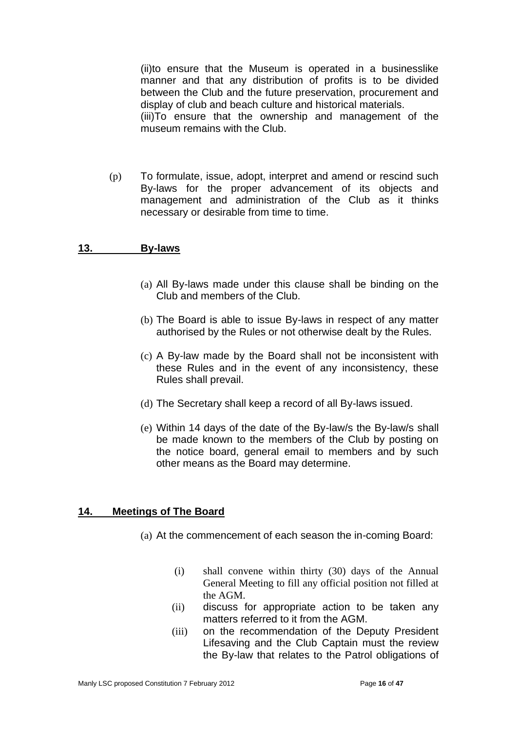(ii)to ensure that the Museum is operated in a businesslike manner and that any distribution of profits is to be divided between the Club and the future preservation, procurement and display of club and beach culture and historical materials. (iii)To ensure that the ownership and management of the museum remains with the Club.

(p) To formulate, issue, adopt, interpret and amend or rescind such By-laws for the proper advancement of its objects and management and administration of the Club as it thinks necessary or desirable from time to time.

# **13. By-laws**

- (a) All By-laws made under this clause shall be binding on the Club and members of the Club.
- (b) The Board is able to issue By-laws in respect of any matter authorised by the Rules or not otherwise dealt by the Rules.
- (c) A By-law made by the Board shall not be inconsistent with these Rules and in the event of any inconsistency, these Rules shall prevail.
- (d) The Secretary shall keep a record of all By-laws issued.
- (e) Within 14 days of the date of the By-law/s the By-law/s shall be made known to the members of the Club by posting on the notice board, general email to members and by such other means as the Board may determine.

#### **14. Meetings of The Board**

- (a) At the commencement of each season the in-coming Board:
	- (i) shall convene within thirty (30) days of the Annual General Meeting to fill any official position not filled at the AGM.
	- (ii) discuss for appropriate action to be taken any matters referred to it from the AGM.
	- (iii) on the recommendation of the Deputy President Lifesaving and the Club Captain must the review the By-law that relates to the Patrol obligations of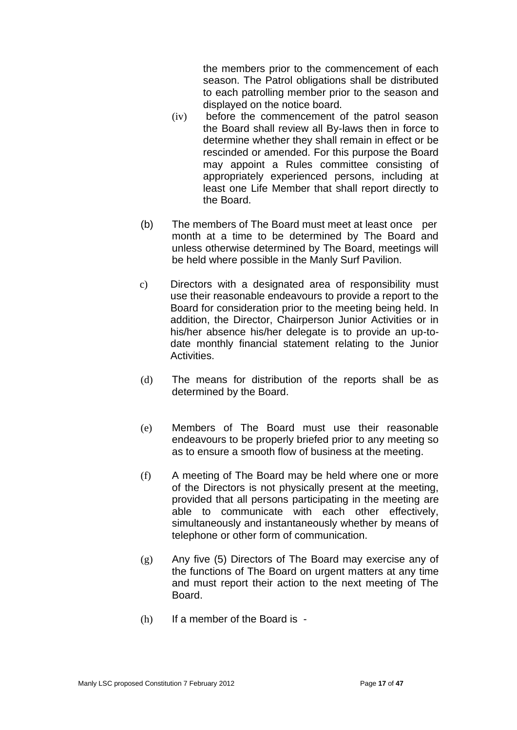the members prior to the commencement of each season. The Patrol obligations shall be distributed to each patrolling member prior to the season and displayed on the notice board.

- (iv) before the commencement of the patrol season the Board shall review all By-laws then in force to determine whether they shall remain in effect or be rescinded or amended. For this purpose the Board may appoint a Rules committee consisting of appropriately experienced persons, including at least one Life Member that shall report directly to the Board.
- (b) The members of The Board must meet at least once per month at a time to be determined by The Board and unless otherwise determined by The Board, meetings will be held where possible in the Manly Surf Pavilion.
- c) Directors with a designated area of responsibility must use their reasonable endeavours to provide a report to the Board for consideration prior to the meeting being held. In addition, the Director, Chairperson Junior Activities or in his/her absence his/her delegate is to provide an up-todate monthly financial statement relating to the Junior Activities.
- (d) The means for distribution of the reports shall be as determined by the Board.
- (e) Members of The Board must use their reasonable endeavours to be properly briefed prior to any meeting so as to ensure a smooth flow of business at the meeting.
- (f) A meeting of The Board may be held where one or more of the Directors is not physically present at the meeting, provided that all persons participating in the meeting are able to communicate with each other effectively, simultaneously and instantaneously whether by means of telephone or other form of communication.
- (g) Any five (5) Directors of The Board may exercise any of the functions of The Board on urgent matters at any time and must report their action to the next meeting of The Board.
- (h) If a member of the Board is -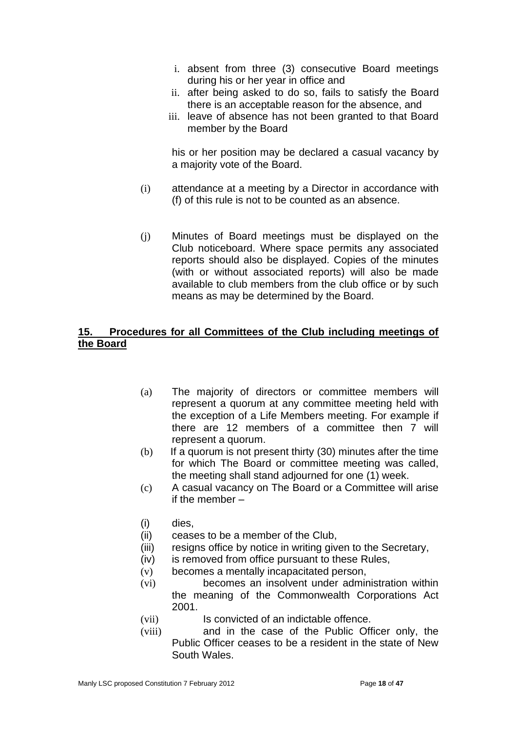- i. absent from three (3) consecutive Board meetings during his or her year in office and
- ii. after being asked to do so, fails to satisfy the Board there is an acceptable reason for the absence, and
- iii. leave of absence has not been granted to that Board member by the Board

his or her position may be declared a casual vacancy by a majority vote of the Board.

- (i) attendance at a meeting by a Director in accordance with (f) of this rule is not to be counted as an absence.
- (j) Minutes of Board meetings must be displayed on the Club noticeboard. Where space permits any associated reports should also be displayed. Copies of the minutes (with or without associated reports) will also be made available to club members from the club office or by such means as may be determined by the Board.

# **15. Procedures for all Committees of the Club including meetings of the Board**

- (a) The majority of directors or committee members will represent a quorum at any committee meeting held with the exception of a Life Members meeting. For example if there are 12 members of a committee then 7 will represent a quorum.
- (b) If a quorum is not present thirty (30) minutes after the time for which The Board or committee meeting was called, the meeting shall stand adjourned for one (1) week.
- (c) A casual vacancy on The Board or a Committee will arise if the member –
- (i) dies,
- (ii) ceases to be a member of the Club,
- (iii) resigns office by notice in writing given to the Secretary,
- (iv) is removed from office pursuant to these Rules,
- (v) becomes a mentally incapacitated person,
- (vi) becomes an insolvent under administration within the meaning of the Commonwealth Corporations Act 2001.
- (vii) Is convicted of an indictable offence.
- (viii) and in the case of the Public Officer only, the Public Officer ceases to be a resident in the state of New South Wales.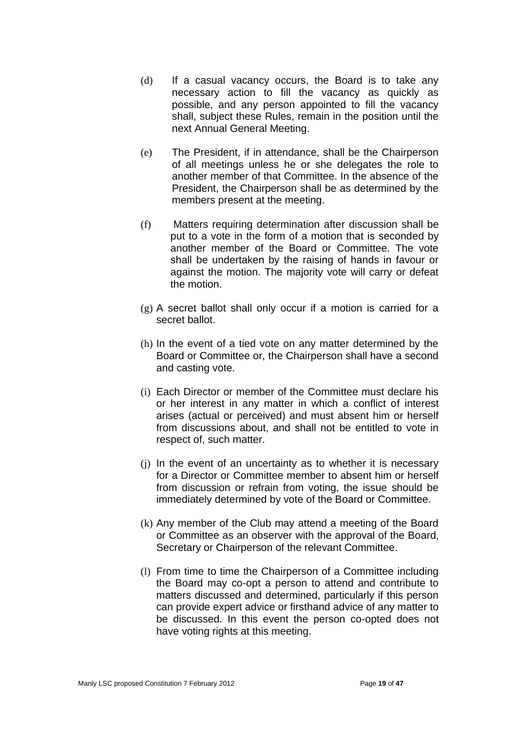- (d) If a casual vacancy occurs, the Board is to take any necessary action to fill the vacancy as quickly as possible, and any person appointed to fill the vacancy shall, subject these Rules, remain in the position until the next Annual General Meeting.
- (e) The President, if in attendance, shall be the Chairperson of all meetings unless he or she delegates the role to another member of that Committee. In the absence of the President, the Chairperson shall be as determined by the members present at the meeting.
- (f) Matters requiring determination after discussion shall be put to a vote in the form of a motion that is seconded by another member of the Board or Committee. The vote shall be undertaken by the raising of hands in favour or against the motion. The majority vote will carry or defeat the motion.
- (g) A secret ballot shall only occur if a motion is carried for a secret ballot.
- (h) In the event of a tied vote on any matter determined by the Board or Committee or, the Chairperson shall have a second and casting vote.
- (i) Each Director or member of the Committee must declare his or her interest in any matter in which a conflict of interest arises (actual or perceived) and must absent him or herself from discussions about, and shall not be entitled to vote in respect of, such matter.
- (j) In the event of an uncertainty as to whether it is necessary for a Director or Committee member to absent him or herself from discussion or refrain from voting, the issue should be immediately determined by vote of the Board or Committee.
- (k) Any member of the Club may attend a meeting of the Board or Committee as an observer with the approval of the Board, Secretary or Chairperson of the relevant Committee.
- (l) From time to time the Chairperson of a Committee including the Board may co-opt a person to attend and contribute to matters discussed and determined, particularly if this person can provide expert advice or firsthand advice of any matter to be discussed. In this event the person co-opted does not have voting rights at this meeting.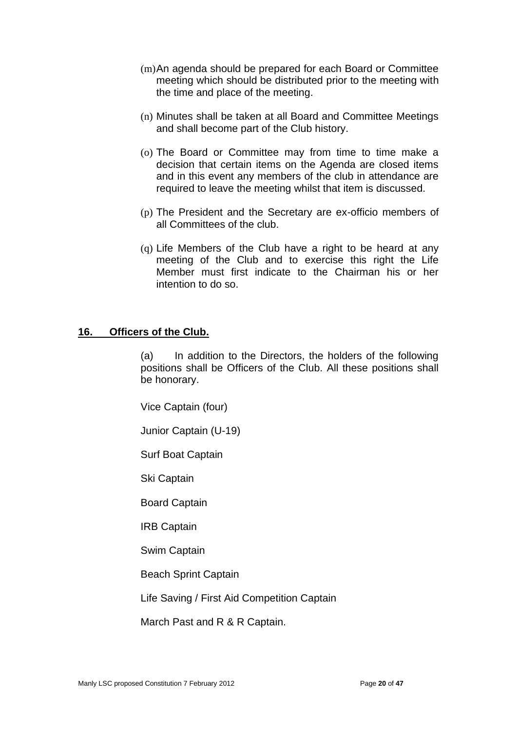- (m)An agenda should be prepared for each Board or Committee meeting which should be distributed prior to the meeting with the time and place of the meeting.
- (n) Minutes shall be taken at all Board and Committee Meetings and shall become part of the Club history.
- (o) The Board or Committee may from time to time make a decision that certain items on the Agenda are closed items and in this event any members of the club in attendance are required to leave the meeting whilst that item is discussed.
- (p) The President and the Secretary are ex-officio members of all Committees of the club.
- (q) Life Members of the Club have a right to be heard at any meeting of the Club and to exercise this right the Life Member must first indicate to the Chairman his or her intention to do so.

#### **16. Officers of the Club.**

(a) In addition to the Directors, the holders of the following positions shall be Officers of the Club. All these positions shall be honorary.

Vice Captain (four)

Junior Captain (U-19)

Surf Boat Captain

Ski Captain

Board Captain

IRB Captain

Swim Captain

Beach Sprint Captain

Life Saving / First Aid Competition Captain

March Past and R & R Captain.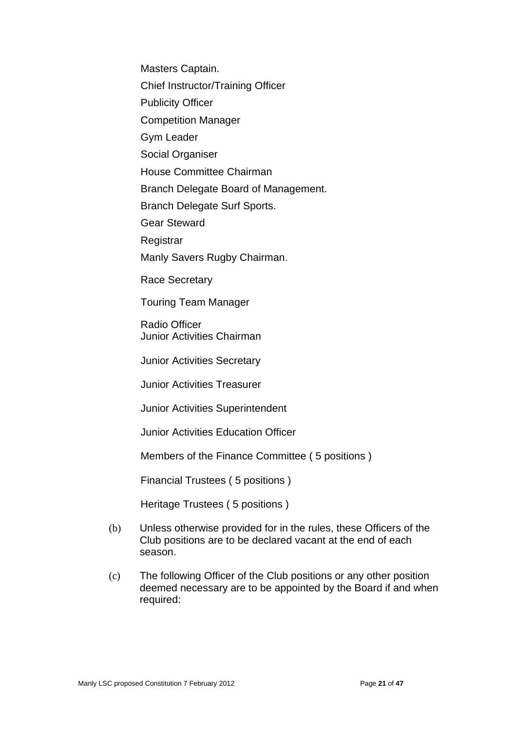Masters Captain.

Chief Instructor/Training Officer

Publicity Officer

Competition Manager

Gym Leader

Social Organiser

House Committee Chairman

Branch Delegate Board of Management.

Branch Delegate Surf Sports.

Gear Steward

**Registrar** 

Manly Savers Rugby Chairman.

Race Secretary

Touring Team Manager

Radio Officer Junior Activities Chairman

Junior Activities Secretary

Junior Activities Treasurer

Junior Activities Superintendent

Junior Activities Education Officer

Members of the Finance Committee ( 5 positions )

Financial Trustees ( 5 positions )

Heritage Trustees ( 5 positions )

- (b) Unless otherwise provided for in the rules, these Officers of the Club positions are to be declared vacant at the end of each season.
- (c) The following Officer of the Club positions or any other position deemed necessary are to be appointed by the Board if and when required: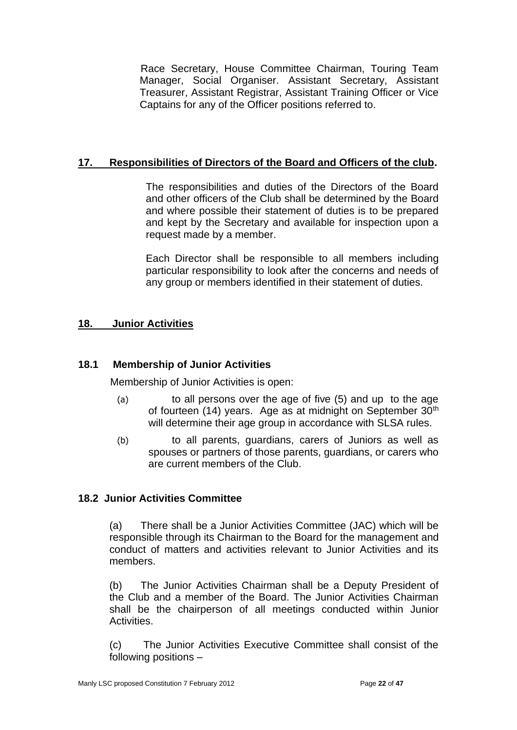Race Secretary, House Committee Chairman, Touring Team Manager, Social Organiser. Assistant Secretary, Assistant Treasurer, Assistant Registrar, Assistant Training Officer or Vice Captains for any of the Officer positions referred to.

# **17. Responsibilities of Directors of the Board and Officers of the club.**

The responsibilities and duties of the Directors of the Board and other officers of the Club shall be determined by the Board and where possible their statement of duties is to be prepared and kept by the Secretary and available for inspection upon a request made by a member.

Each Director shall be responsible to all members including particular responsibility to look after the concerns and needs of any group or members identified in their statement of duties.

# **18. Junior Activities**

# **18.1 Membership of Junior Activities**

Membership of Junior Activities is open:

- (a) to all persons over the age of five (5) and up to the age of fourteen (14) years. Age as at midnight on September 30<sup>th</sup> will determine their age group in accordance with SLSA rules.
- (b) to all parents, guardians, carers of Juniors as well as spouses or partners of those parents, guardians, or carers who are current members of the Club.

# **18.2 Junior Activities Committee**

(a) There shall be a Junior Activities Committee (JAC) which will be responsible through its Chairman to the Board for the management and conduct of matters and activities relevant to Junior Activities and its members.

(b) The Junior Activities Chairman shall be a Deputy President of the Club and a member of the Board. The Junior Activities Chairman shall be the chairperson of all meetings conducted within Junior Activities.

(c) The Junior Activities Executive Committee shall consist of the following positions –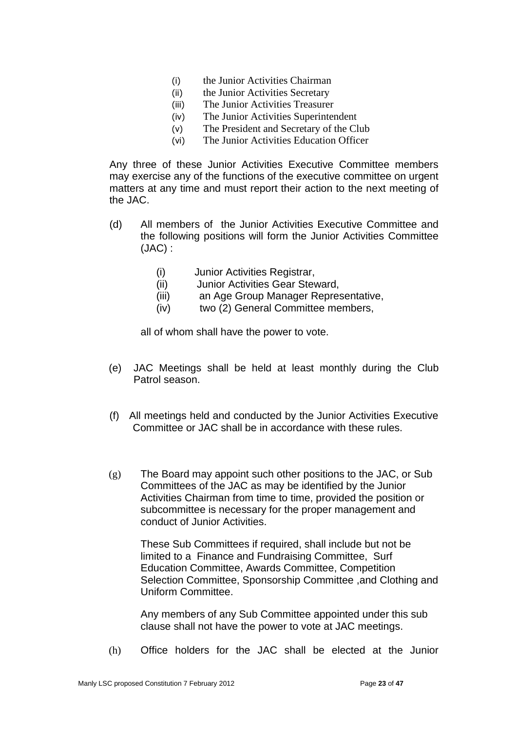- (i) the Junior Activities Chairman
- (ii) the Junior Activities Secretary
- (iii) The Junior Activities Treasurer
- (iv) The Junior Activities Superintendent
- (v) The President and Secretary of the Club
- (vi) The Junior Activities Education Officer

Any three of these Junior Activities Executive Committee members may exercise any of the functions of the executive committee on urgent matters at any time and must report their action to the next meeting of the JAC.

- (d) All members of the Junior Activities Executive Committee and the following positions will form the Junior Activities Committee (JAC) :
	- (i) Junior Activities Registrar,
	- (ii) Junior Activities Gear Steward,
	- (iii) an Age Group Manager Representative,
	- (iv) two (2) General Committee members,

all of whom shall have the power to vote.

- (e) JAC Meetings shall be held at least monthly during the Club Patrol season.
- (f) All meetings held and conducted by the Junior Activities Executive Committee or JAC shall be in accordance with these rules.
- (g) The Board may appoint such other positions to the JAC, or Sub Committees of the JAC as may be identified by the Junior Activities Chairman from time to time, provided the position or subcommittee is necessary for the proper management and conduct of Junior Activities.

These Sub Committees if required, shall include but not be limited to a Finance and Fundraising Committee, Surf Education Committee, Awards Committee, Competition Selection Committee, Sponsorship Committee ,and Clothing and Uniform Committee.

Any members of any Sub Committee appointed under this sub clause shall not have the power to vote at JAC meetings.

(h) Office holders for the JAC shall be elected at the Junior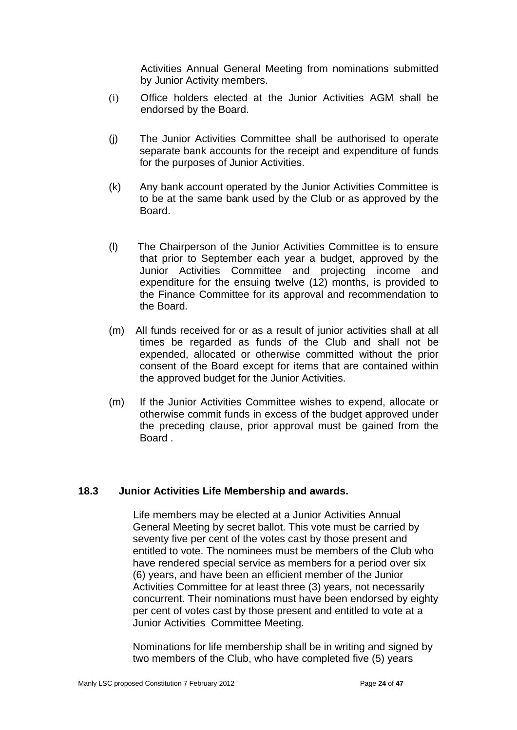Activities Annual General Meeting from nominations submitted by Junior Activity members.

- (i) Office holders elected at the Junior Activities AGM shall be endorsed by the Board.
- (j) The Junior Activities Committee shall be authorised to operate separate bank accounts for the receipt and expenditure of funds for the purposes of Junior Activities.
- (k) Any bank account operated by the Junior Activities Committee is to be at the same bank used by the Club or as approved by the Board.
- (l) The Chairperson of the Junior Activities Committee is to ensure that prior to September each year a budget, approved by the Junior Activities Committee and projecting income and expenditure for the ensuing twelve (12) months, is provided to the Finance Committee for its approval and recommendation to the Board.
- (m) All funds received for or as a result of junior activities shall at all times be regarded as funds of the Club and shall not be expended, allocated or otherwise committed without the prior consent of the Board except for items that are contained within the approved budget for the Junior Activities.
- (m) If the Junior Activities Committee wishes to expend, allocate or otherwise commit funds in excess of the budget approved under the preceding clause, prior approval must be gained from the Board .

# **18.3 Junior Activities Life Membership and awards.**

 Life members may be elected at a Junior Activities Annual General Meeting by secret ballot. This vote must be carried by seventy five per cent of the votes cast by those present and entitled to vote. The nominees must be members of the Club who have rendered special service as members for a period over six (6) years, and have been an efficient member of the Junior Activities Committee for at least three (3) years, not necessarily concurrent. Their nominations must have been endorsed by eighty per cent of votes cast by those present and entitled to vote at a Junior Activities Committee Meeting.

Nominations for life membership shall be in writing and signed by two members of the Club, who have completed five (5) years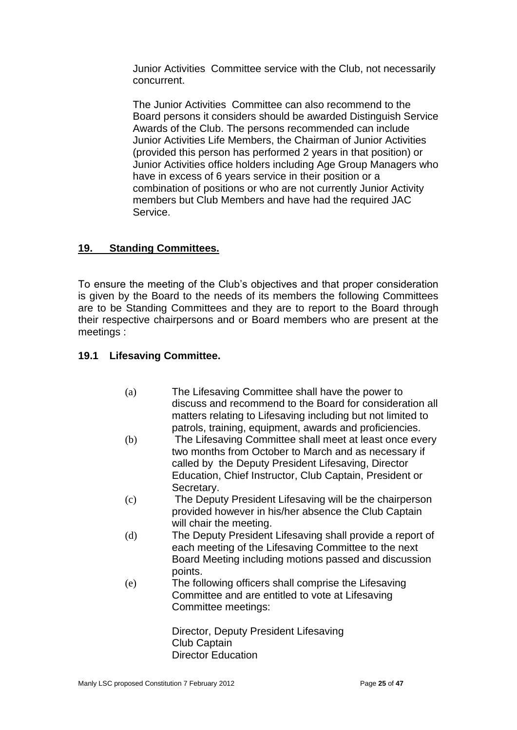Junior Activities Committee service with the Club, not necessarily concurrent.

The Junior Activities Committee can also recommend to the Board persons it considers should be awarded Distinguish Service Awards of the Club. The persons recommended can include Junior Activities Life Members, the Chairman of Junior Activities (provided this person has performed 2 years in that position) or Junior Activities office holders including Age Group Managers who have in excess of 6 years service in their position or a combination of positions or who are not currently Junior Activity members but Club Members and have had the required JAC Service.

# **19. Standing Committees.**

To ensure the meeting of the Club's objectives and that proper consideration is given by the Board to the needs of its members the following Committees are to be Standing Committees and they are to report to the Board through their respective chairpersons and or Board members who are present at the meetings :

# **19.1 Lifesaving Committee.**

- (a) The Lifesaving Committee shall have the power to discuss and recommend to the Board for consideration all matters relating to Lifesaving including but not limited to patrols, training, equipment, awards and proficiencies.
- (b) The Lifesaving Committee shall meet at least once every two months from October to March and as necessary if called by the Deputy President Lifesaving, Director Education, Chief Instructor, Club Captain, President or Secretary.
- (c) The Deputy President Lifesaving will be the chairperson provided however in his/her absence the Club Captain will chair the meeting.
- (d) The Deputy President Lifesaving shall provide a report of each meeting of the Lifesaving Committee to the next Board Meeting including motions passed and discussion points.
- (e) The following officers shall comprise the Lifesaving Committee and are entitled to vote at Lifesaving Committee meetings:

Director, Deputy President Lifesaving Club Captain Director Education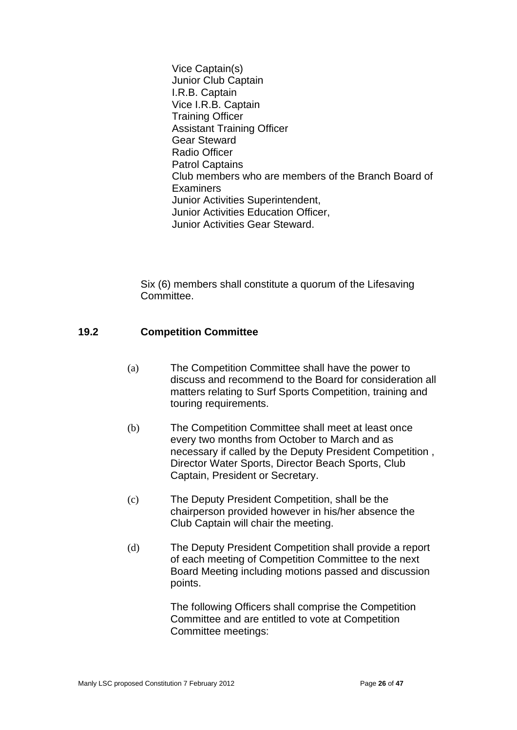Vice Captain(s) Junior Club Captain I.R.B. Captain Vice I.R.B. Captain Training Officer Assistant Training Officer Gear Steward Radio Officer Patrol Captains Club members who are members of the Branch Board of **Examiners** Junior Activities Superintendent, Junior Activities Education Officer, Junior Activities Gear Steward.

Six (6) members shall constitute a quorum of the Lifesaving Committee.

# **19.2 Competition Committee**

- (a) The Competition Committee shall have the power to discuss and recommend to the Board for consideration all matters relating to Surf Sports Competition, training and touring requirements.
- (b) The Competition Committee shall meet at least once every two months from October to March and as necessary if called by the Deputy President Competition , Director Water Sports, Director Beach Sports, Club Captain, President or Secretary.
- (c) The Deputy President Competition, shall be the chairperson provided however in his/her absence the Club Captain will chair the meeting.
- (d) The Deputy President Competition shall provide a report of each meeting of Competition Committee to the next Board Meeting including motions passed and discussion points.

The following Officers shall comprise the Competition Committee and are entitled to vote at Competition Committee meetings: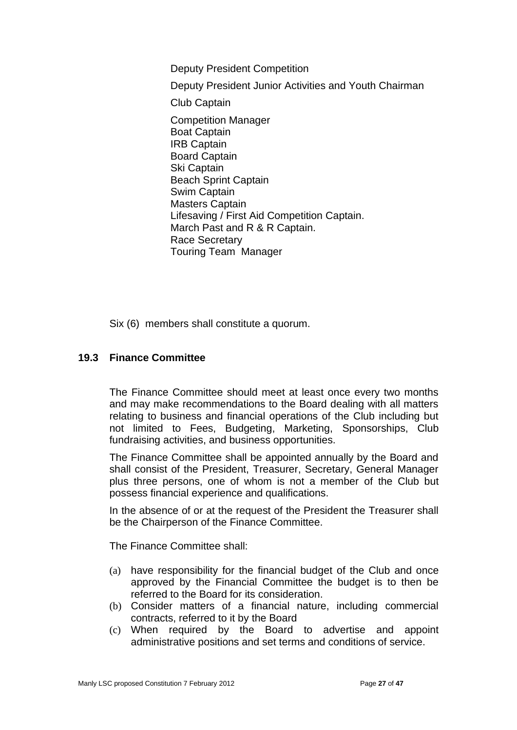Deputy President Competition

Deputy President Junior Activities and Youth Chairman

Club Captain

Competition Manager Boat Captain IRB Captain Board Captain Ski Captain Beach Sprint Captain Swim Captain Masters Captain Lifesaving / First Aid Competition Captain. March Past and R & R Captain. Race Secretary Touring Team Manager

Six (6) members shall constitute a quorum.

### **19.3 Finance Committee**

The Finance Committee should meet at least once every two months and may make recommendations to the Board dealing with all matters relating to business and financial operations of the Club including but not limited to Fees, Budgeting, Marketing, Sponsorships, Club fundraising activities, and business opportunities.

The Finance Committee shall be appointed annually by the Board and shall consist of the President, Treasurer, Secretary, General Manager plus three persons, one of whom is not a member of the Club but possess financial experience and qualifications.

In the absence of or at the request of the President the Treasurer shall be the Chairperson of the Finance Committee.

The Finance Committee shall:

- (a) have responsibility for the financial budget of the Club and once approved by the Financial Committee the budget is to then be referred to the Board for its consideration.
- (b) Consider matters of a financial nature, including commercial contracts, referred to it by the Board
- (c) When required by the Board to advertise and appoint administrative positions and set terms and conditions of service.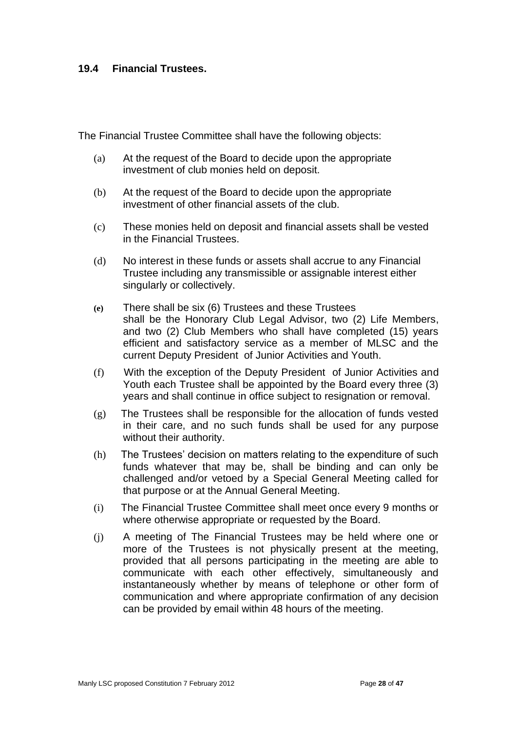# **19.4 Financial Trustees.**

The Financial Trustee Committee shall have the following objects:

- (a) At the request of the Board to decide upon the appropriate investment of club monies held on deposit.
- (b) At the request of the Board to decide upon the appropriate investment of other financial assets of the club.
- (c) These monies held on deposit and financial assets shall be vested in the Financial Trustees.
- (d) No interest in these funds or assets shall accrue to any Financial Trustee including any transmissible or assignable interest either singularly or collectively.
- **(e)** There shall be six (6) Trustees and these Trustees shall be the Honorary Club Legal Advisor, two (2) Life Members, and two (2) Club Members who shall have completed (15) years efficient and satisfactory service as a member of MLSC and the current Deputy President of Junior Activities and Youth.
- (f) With the exception of the Deputy President of Junior Activities and Youth each Trustee shall be appointed by the Board every three (3) years and shall continue in office subject to resignation or removal.
- (g) The Trustees shall be responsible for the allocation of funds vested in their care, and no such funds shall be used for any purpose without their authority.
- (h) The Trustees' decision on matters relating to the expenditure of such funds whatever that may be, shall be binding and can only be challenged and/or vetoed by a Special General Meeting called for that purpose or at the Annual General Meeting.
- (i) The Financial Trustee Committee shall meet once every 9 months or where otherwise appropriate or requested by the Board.
- (j) A meeting of The Financial Trustees may be held where one or more of the Trustees is not physically present at the meeting, provided that all persons participating in the meeting are able to communicate with each other effectively, simultaneously and instantaneously whether by means of telephone or other form of communication and where appropriate confirmation of any decision can be provided by email within 48 hours of the meeting.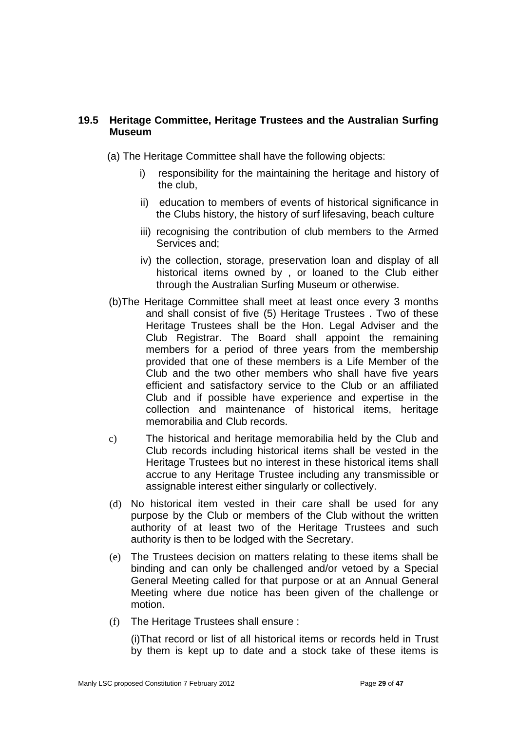# **19.5 Heritage Committee, Heritage Trustees and the Australian Surfing Museum**

- (a) The Heritage Committee shall have the following objects:
	- i) responsibility for the maintaining the heritage and history of the club,
	- ii) education to members of events of historical significance in the Clubs history, the history of surf lifesaving, beach culture
	- iii) recognising the contribution of club members to the Armed Services and;
	- iv) the collection, storage, preservation loan and display of all historical items owned by , or loaned to the Club either through the Australian Surfing Museum or otherwise.
- (b)The Heritage Committee shall meet at least once every 3 months and shall consist of five (5) Heritage Trustees . Two of these Heritage Trustees shall be the Hon. Legal Adviser and the Club Registrar. The Board shall appoint the remaining members for a period of three years from the membership provided that one of these members is a Life Member of the Club and the two other members who shall have five years efficient and satisfactory service to the Club or an affiliated Club and if possible have experience and expertise in the collection and maintenance of historical items, heritage memorabilia and Club records.
- c) The historical and heritage memorabilia held by the Club and Club records including historical items shall be vested in the Heritage Trustees but no interest in these historical items shall accrue to any Heritage Trustee including any transmissible or assignable interest either singularly or collectively.
- (d) No historical item vested in their care shall be used for any purpose by the Club or members of the Club without the written authority of at least two of the Heritage Trustees and such authority is then to be lodged with the Secretary.
- (e) The Trustees decision on matters relating to these items shall be binding and can only be challenged and/or vetoed by a Special General Meeting called for that purpose or at an Annual General Meeting where due notice has been given of the challenge or motion.
- (f) The Heritage Trustees shall ensure :

(i)That record or list of all historical items or records held in Trust by them is kept up to date and a stock take of these items is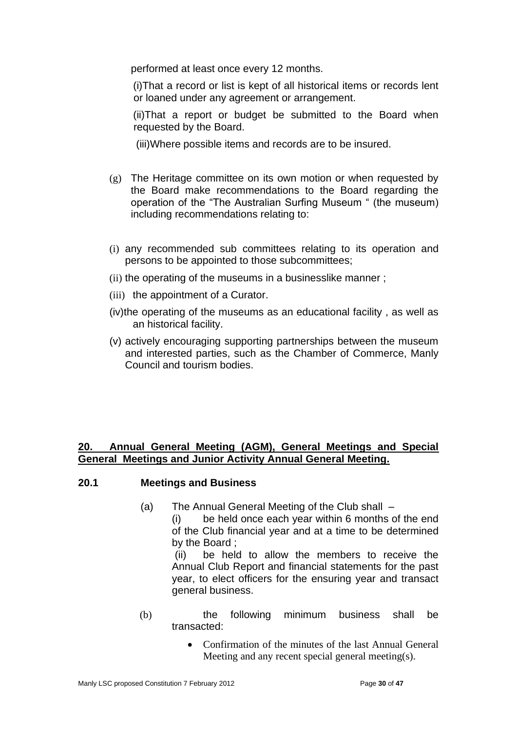performed at least once every 12 months.

 (i)That a record or list is kept of all historical items or records lent or loaned under any agreement or arrangement.

 (ii)That a report or budget be submitted to the Board when requested by the Board.

(iii)Where possible items and records are to be insured.

- (g) The Heritage committee on its own motion or when requested by the Board make recommendations to the Board regarding the operation of the "The Australian Surfing Museum " (the museum) including recommendations relating to:
- (i) any recommended sub committees relating to its operation and persons to be appointed to those subcommittees;
- (ii) the operating of the museums in a businesslike manner;
- (iii) the appointment of a Curator.
- (iv)the operating of the museums as an educational facility , as well as an historical facility.
- (v) actively encouraging supporting partnerships between the museum and interested parties, such as the Chamber of Commerce, Manly Council and tourism bodies.

# **20. Annual General Meeting (AGM), General Meetings and Special General Meetings and Junior Activity Annual General Meeting.**

# **20.1 Meetings and Business**

(a) The Annual General Meeting of the Club shall –

(i) be held once each year within 6 months of the end of the Club financial year and at a time to be determined by the Board ;

 (ii) be held to allow the members to receive the Annual Club Report and financial statements for the past year, to elect officers for the ensuring year and transact general business.

- (b) the following minimum business shall be transacted:
	- Confirmation of the minutes of the last Annual General Meeting and any recent special general meeting(s).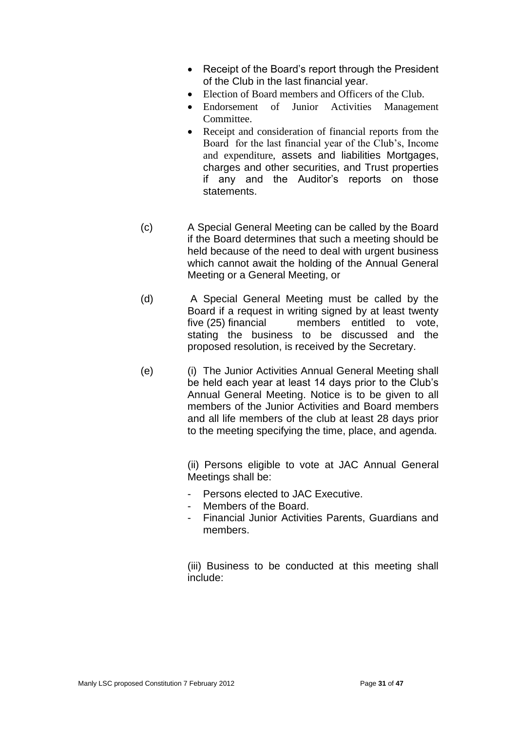- Receipt of the Board's report through the President of the Club in the last financial year.
- Election of Board members and Officers of the Club.
- Endorsement of Junior Activities Management Committee.
- Receipt and consideration of financial reports from the Board for the last financial year of the Club's, Income and expenditure, assets and liabilities Mortgages, charges and other securities, and Trust properties if any and the Auditor's reports on those statements.
- (c) A Special General Meeting can be called by the Board if the Board determines that such a meeting should be held because of the need to deal with urgent business which cannot await the holding of the Annual General Meeting or a General Meeting, or
- (d) A Special General Meeting must be called by the Board if a request in writing signed by at least twenty five (25) financial members entitled to vote, stating the business to be discussed and the proposed resolution, is received by the Secretary.
- (e) (i) The Junior Activities Annual General Meeting shall be held each year at least 14 days prior to the Club's Annual General Meeting. Notice is to be given to all members of the Junior Activities and Board members and all life members of the club at least 28 days prior to the meeting specifying the time, place, and agenda.

(ii) Persons eligible to vote at JAC Annual General Meetings shall be:

- Persons elected to JAC Executive.
- Members of the Board.
- Financial Junior Activities Parents, Guardians and members.

 (iii) Business to be conducted at this meeting shall include: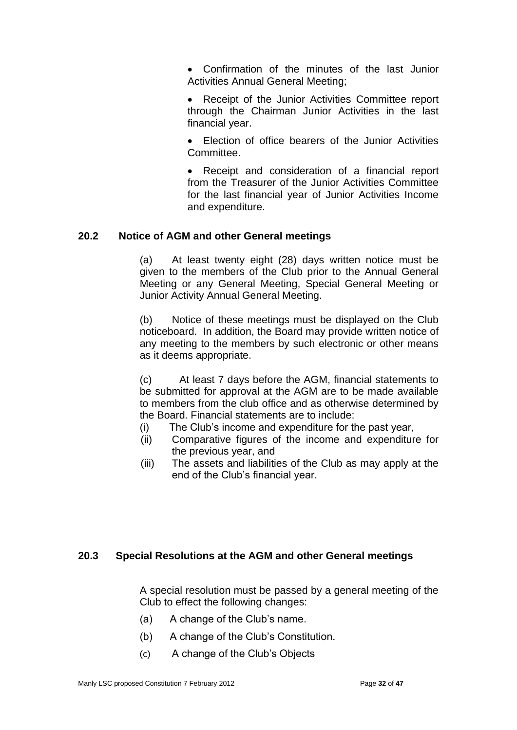• Confirmation of the minutes of the last Junior Activities Annual General Meeting;

• Receipt of the Junior Activities Committee report through the Chairman Junior Activities in the last financial year.

• Election of office bearers of the Junior Activities Committee.

• Receipt and consideration of a financial report from the Treasurer of the Junior Activities Committee for the last financial year of Junior Activities Income and expenditure.

# **20.2 Notice of AGM and other General meetings**

(a) At least twenty eight (28) days written notice must be given to the members of the Club prior to the Annual General Meeting or any General Meeting, Special General Meeting or Junior Activity Annual General Meeting.

(b) Notice of these meetings must be displayed on the Club noticeboard. In addition, the Board may provide written notice of any meeting to the members by such electronic or other means as it deems appropriate.

(c) At least 7 days before the AGM, financial statements to be submitted for approval at the AGM are to be made available to members from the club office and as otherwise determined by the Board. Financial statements are to include:

- (i) The Club's income and expenditure for the past year,
- (ii) Comparative figures of the income and expenditure for the previous year, and
- (iii) The assets and liabilities of the Club as may apply at the end of the Club's financial year.

# **20.3 Special Resolutions at the AGM and other General meetings**

A special resolution must be passed by a general meeting of the Club to effect the following changes:

- (a) A change of the Club's name.
- (b) A change of the Club's Constitution.
- (c) A change of the Club's Objects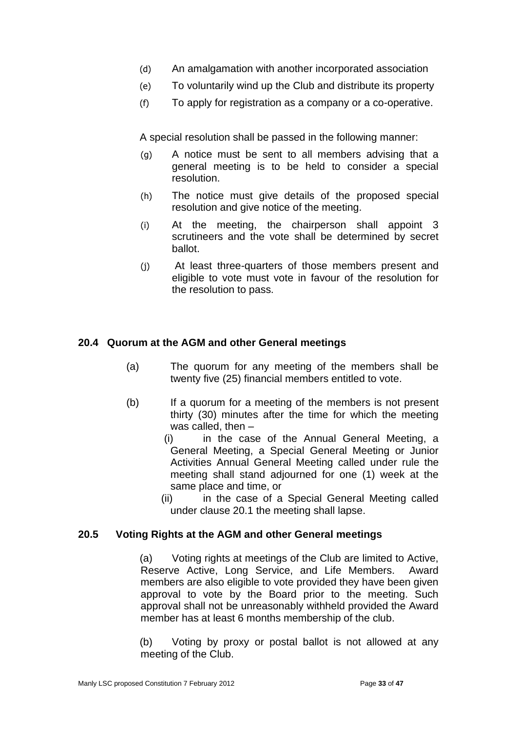- (d) An amalgamation with another incorporated association
- (e) To voluntarily wind up the Club and distribute its property
- (f) To apply for registration as a company or a co-operative.

A special resolution shall be passed in the following manner:

- (g) A notice must be sent to all members advising that a general meeting is to be held to consider a special resolution.
- (h) The notice must give details of the proposed special resolution and give notice of the meeting.
- (i) At the meeting, the chairperson shall appoint 3 scrutineers and the vote shall be determined by secret ballot.
- (j) At least three-quarters of those members present and eligible to vote must vote in favour of the resolution for the resolution to pass.

# **20.4 Quorum at the AGM and other General meetings**

- (a) The quorum for any meeting of the members shall be twenty five (25) financial members entitled to vote.
- (b) If a quorum for a meeting of the members is not present thirty (30) minutes after the time for which the meeting was called, then –
	- (i) in the case of the Annual General Meeting, a General Meeting, a Special General Meeting or Junior Activities Annual General Meeting called under rule the meeting shall stand adjourned for one (1) week at the same place and time, or
	- (ii) in the case of a Special General Meeting called under clause 20.1 the meeting shall lapse.

# **20.5 Voting Rights at the AGM and other General meetings**

(a) Voting rights at meetings of the Club are limited to Active, Reserve Active, Long Service, and Life Members. Award members are also eligible to vote provided they have been given approval to vote by the Board prior to the meeting. Such approval shall not be unreasonably withheld provided the Award member has at least 6 months membership of the club.

(b) Voting by proxy or postal ballot is not allowed at any meeting of the Club.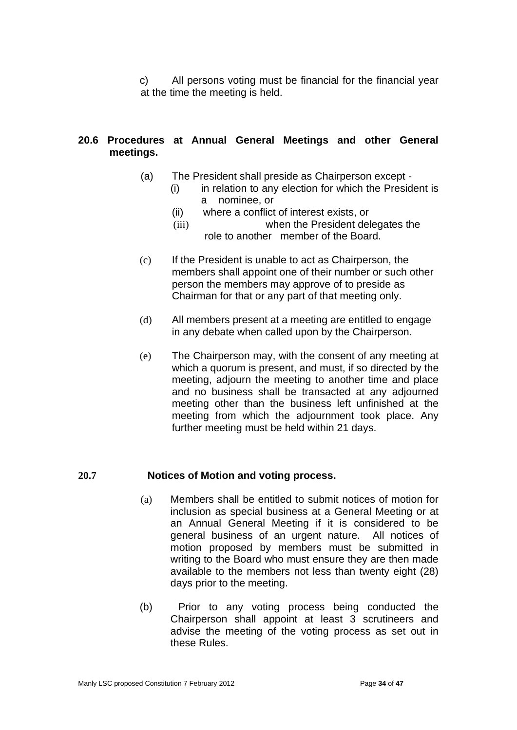c) All persons voting must be financial for the financial year at the time the meeting is held.

# **20.6 Procedures at Annual General Meetings and other General meetings.**

- (a) The President shall preside as Chairperson except
	- $(i)$  in relation to any election for which the President is a nominee, or
		- (ii) where a conflict of interest exists, or
		- (iii) when the President delegates the role to another member of the Board.
- (c) If the President is unable to act as Chairperson, the members shall appoint one of their number or such other person the members may approve of to preside as Chairman for that or any part of that meeting only.
- (d) All members present at a meeting are entitled to engage in any debate when called upon by the Chairperson.
- (e) The Chairperson may, with the consent of any meeting at which a quorum is present, and must, if so directed by the meeting, adjourn the meeting to another time and place and no business shall be transacted at any adjourned meeting other than the business left unfinished at the meeting from which the adjournment took place. Any further meeting must be held within 21 days.

# **20.7 Notices of Motion and voting process.**

- (a) Members shall be entitled to submit notices of motion for inclusion as special business at a General Meeting or at an Annual General Meeting if it is considered to be general business of an urgent nature. All notices of motion proposed by members must be submitted in writing to the Board who must ensure they are then made available to the members not less than twenty eight (28) days prior to the meeting.
- (b) Prior to any voting process being conducted the Chairperson shall appoint at least 3 scrutineers and advise the meeting of the voting process as set out in these Rules.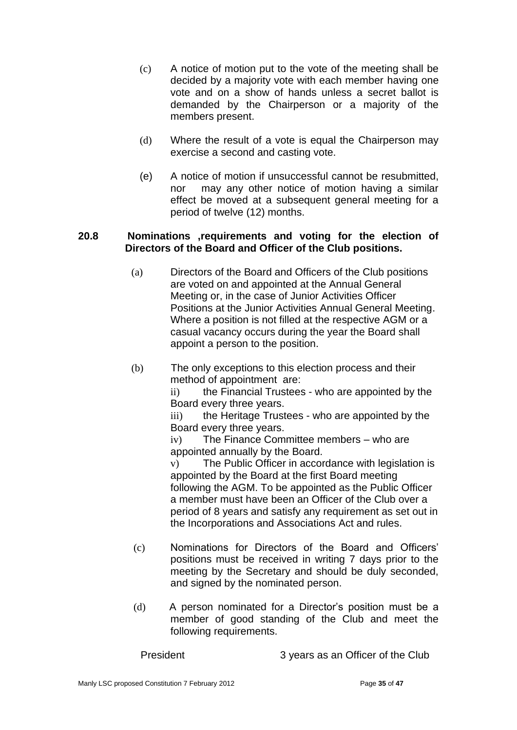- (c) A notice of motion put to the vote of the meeting shall be decided by a majority vote with each member having one vote and on a show of hands unless a secret ballot is demanded by the Chairperson or a majority of the members present.
- (d) Where the result of a vote is equal the Chairperson may exercise a second and casting vote.
- (e) A notice of motion if unsuccessful cannot be resubmitted, nor may any other notice of motion having a similar effect be moved at a subsequent general meeting for a period of twelve (12) months.

### **20.8 Nominations ,requirements and voting for the election of Directors of the Board and Officer of the Club positions.**

- (a) Directors of the Board and Officers of the Club positions are voted on and appointed at the Annual General Meeting or, in the case of Junior Activities Officer Positions at the Junior Activities Annual General Meeting. Where a position is not filled at the respective AGM or a casual vacancy occurs during the year the Board shall appoint a person to the position.
- (b) The only exceptions to this election process and their method of appointment are:

ii) the Financial Trustees - who are appointed by the Board every three years.

iii) the Heritage Trustees - who are appointed by the Board every three years.

iv) The Finance Committee members – who are appointed annually by the Board.

v) The Public Officer in accordance with legislation is appointed by the Board at the first Board meeting following the AGM. To be appointed as the Public Officer a member must have been an Officer of the Club over a period of 8 years and satisfy any requirement as set out in the Incorporations and Associations Act and rules.

- (c) Nominations for Directors of the Board and Officers' positions must be received in writing 7 days prior to the meeting by the Secretary and should be duly seconded, and signed by the nominated person.
- (d) A person nominated for a Director's position must be a member of good standing of the Club and meet the following requirements.

President 3 years as an Officer of the Club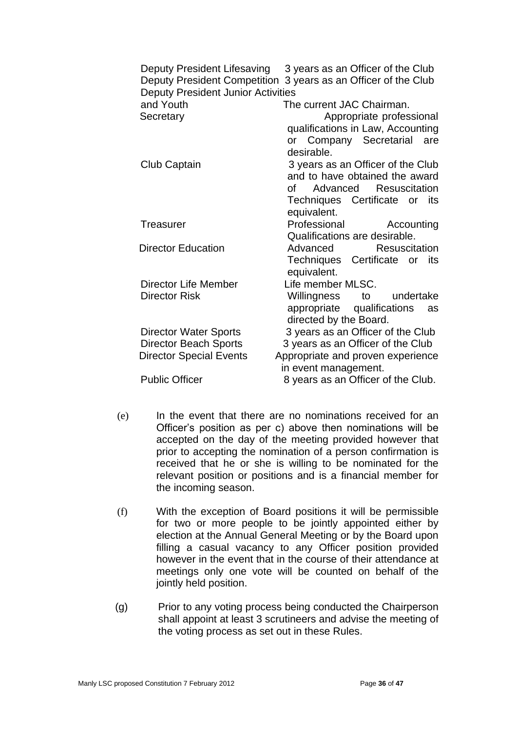| Deputy President Lifesaving<br><b>Deputy President Junior Activities</b> | 3 years as an Officer of the Club<br>Deputy President Competition 3 years as an Officer of the Club |
|--------------------------------------------------------------------------|-----------------------------------------------------------------------------------------------------|
| and Youth                                                                | The current JAC Chairman.                                                                           |
| Secretary                                                                | Appropriate professional                                                                            |
|                                                                          | qualifications in Law, Accounting<br>or Company Secretarial<br>are<br>desirable.                    |
| Club Captain                                                             | 3 years as an Officer of the Club                                                                   |
|                                                                          | and to have obtained the award                                                                      |
|                                                                          | of Advanced Resuscitation                                                                           |
|                                                                          | Techniques Certificate or its                                                                       |
|                                                                          | equivalent.                                                                                         |
| Treasurer                                                                | Professional<br>Accounting                                                                          |
|                                                                          | Qualifications are desirable.                                                                       |
| <b>Director Education</b>                                                | Advanced<br><b>Resuscitation</b>                                                                    |
|                                                                          | Techniques Certificate<br>its<br>or<br>equivalent.                                                  |
| <b>Director Life Member</b>                                              | Life member MLSC.                                                                                   |
| <b>Director Risk</b>                                                     | Willingness<br>undertake<br>to                                                                      |
|                                                                          | appropriate<br>qualifications<br>as                                                                 |
|                                                                          | directed by the Board.                                                                              |
| <b>Director Water Sports</b>                                             | 3 years as an Officer of the Club                                                                   |
| <b>Director Beach Sports</b>                                             | 3 years as an Officer of the Club                                                                   |
| <b>Director Special Events</b>                                           | Appropriate and proven experience<br>in event management.                                           |
| <b>Public Officer</b>                                                    | 8 years as an Officer of the Club.                                                                  |
|                                                                          |                                                                                                     |

- (e) In the event that there are no nominations received for an Officer's position as per c) above then nominations will be accepted on the day of the meeting provided however that prior to accepting the nomination of a person confirmation is received that he or she is willing to be nominated for the relevant position or positions and is a financial member for the incoming season.
- (f) With the exception of Board positions it will be permissible for two or more people to be jointly appointed either by election at the Annual General Meeting or by the Board upon filling a casual vacancy to any Officer position provided however in the event that in the course of their attendance at meetings only one vote will be counted on behalf of the jointly held position.
- (g) Prior to any voting process being conducted the Chairperson shall appoint at least 3 scrutineers and advise the meeting of the voting process as set out in these Rules.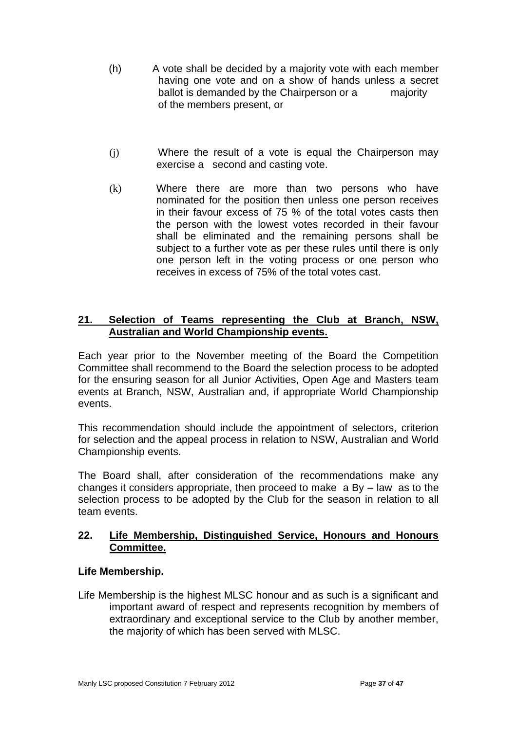- (h) A vote shall be decided by a majority vote with each member having one vote and on a show of hands unless a secret ballot is demanded by the Chairperson or a majority of the members present, or
- (j) Where the result of a vote is equal the Chairperson may exercise a second and casting vote.
- (k) Where there are more than two persons who have nominated for the position then unless one person receives in their favour excess of 75 % of the total votes casts then the person with the lowest votes recorded in their favour shall be eliminated and the remaining persons shall be subject to a further vote as per these rules until there is only one person left in the voting process or one person who receives in excess of 75% of the total votes cast.

# **21. Selection of Teams representing the Club at Branch, NSW, Australian and World Championship events.**

Each year prior to the November meeting of the Board the Competition Committee shall recommend to the Board the selection process to be adopted for the ensuring season for all Junior Activities, Open Age and Masters team events at Branch, NSW, Australian and, if appropriate World Championship events.

This recommendation should include the appointment of selectors, criterion for selection and the appeal process in relation to NSW, Australian and World Championship events.

The Board shall, after consideration of the recommendations make any changes it considers appropriate, then proceed to make a By – law as to the selection process to be adopted by the Club for the season in relation to all team events.

# **22. Life Membership, Distinguished Service, Honours and Honours Committee.**

# **Life Membership.**

Life Membership is the highest MLSC honour and as such is a significant and important award of respect and represents recognition by members of extraordinary and exceptional service to the Club by another member, the majority of which has been served with MLSC.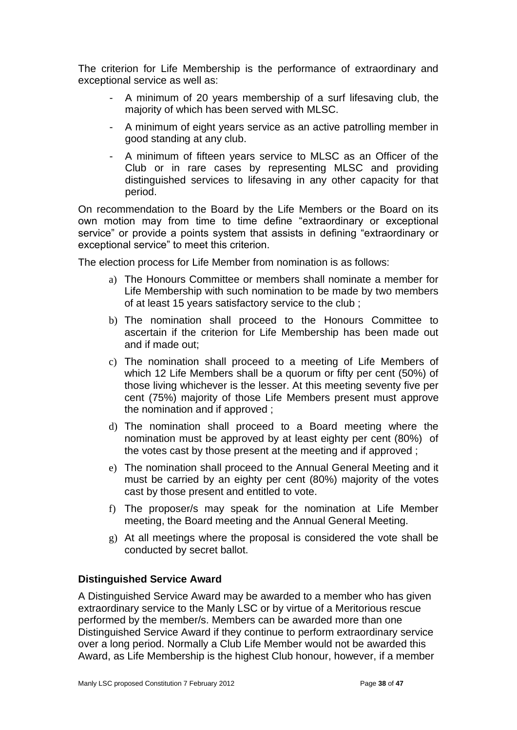The criterion for Life Membership is the performance of extraordinary and exceptional service as well as:

- A minimum of 20 years membership of a surf lifesaving club, the majority of which has been served with MLSC.
- A minimum of eight years service as an active patrolling member in good standing at any club.
- A minimum of fifteen years service to MLSC as an Officer of the Club or in rare cases by representing MLSC and providing distinguished services to lifesaving in any other capacity for that period.

On recommendation to the Board by the Life Members or the Board on its own motion may from time to time define "extraordinary or exceptional service" or provide a points system that assists in defining "extraordinary or exceptional service" to meet this criterion.

The election process for Life Member from nomination is as follows:

- a) The Honours Committee or members shall nominate a member for Life Membership with such nomination to be made by two members of at least 15 years satisfactory service to the club ;
- b) The nomination shall proceed to the Honours Committee to ascertain if the criterion for Life Membership has been made out and if made out;
- c) The nomination shall proceed to a meeting of Life Members of which 12 Life Members shall be a quorum or fifty per cent (50%) of those living whichever is the lesser. At this meeting seventy five per cent (75%) majority of those Life Members present must approve the nomination and if approved ;
- d) The nomination shall proceed to a Board meeting where the nomination must be approved by at least eighty per cent (80%) of the votes cast by those present at the meeting and if approved ;
- e) The nomination shall proceed to the Annual General Meeting and it must be carried by an eighty per cent (80%) majority of the votes cast by those present and entitled to vote.
- f) The proposer/s may speak for the nomination at Life Member meeting, the Board meeting and the Annual General Meeting.
- g) At all meetings where the proposal is considered the vote shall be conducted by secret ballot.

# **Distinguished Service Award**

A Distinguished Service Award may be awarded to a member who has given extraordinary service to the Manly LSC or by virtue of a Meritorious rescue performed by the member/s. Members can be awarded more than one Distinguished Service Award if they continue to perform extraordinary service over a long period. Normally a Club Life Member would not be awarded this Award, as Life Membership is the highest Club honour, however, if a member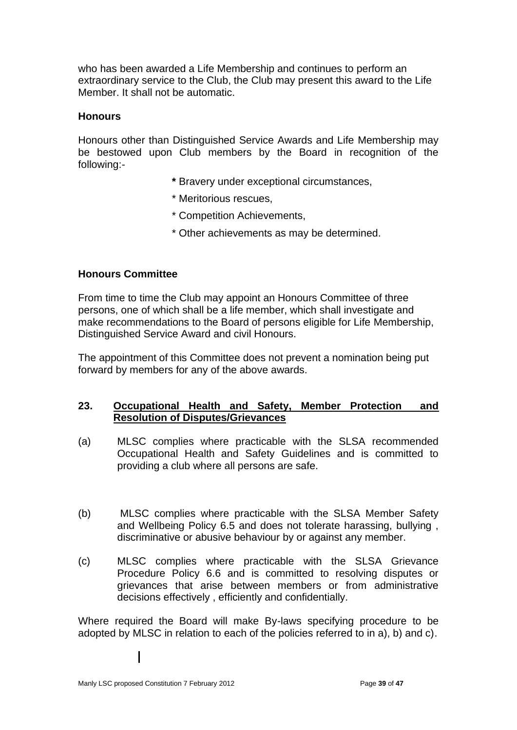who has been awarded a Life Membership and continues to perform an extraordinary service to the Club, the Club may present this award to the Life Member. It shall not be automatic.

### **Honours**

Honours other than Distinguished Service Awards and Life Membership may be bestowed upon Club members by the Board in recognition of the following:-

- **\*** Bravery under exceptional circumstances,
- \* Meritorious rescues,
- \* Competition Achievements,
- \* Other achievements as may be determined.

#### **Honours Committee**

From time to time the Club may appoint an Honours Committee of three persons, one of which shall be a life member, which shall investigate and make recommendations to the Board of persons eligible for Life Membership, Distinguished Service Award and civil Honours.

The appointment of this Committee does not prevent a nomination being put forward by members for any of the above awards.

# **23. Occupational Health and Safety, Member Protection and Resolution of Disputes/Grievances**

- (a) MLSC complies where practicable with the SLSA recommended Occupational Health and Safety Guidelines and is committed to providing a club where all persons are safe.
- (b) MLSC complies where practicable with the SLSA Member Safety and Wellbeing Policy 6.5 and does not tolerate harassing, bullying , discriminative or abusive behaviour by or against any member.
- (c) MLSC complies where practicable with the SLSA Grievance Procedure Policy 6.6 and is committed to resolving disputes or grievances that arise between members or from administrative decisions effectively , efficiently and confidentially.

Where required the Board will make By-laws specifying procedure to be adopted by MLSC in relation to each of the policies referred to in a), b) and c).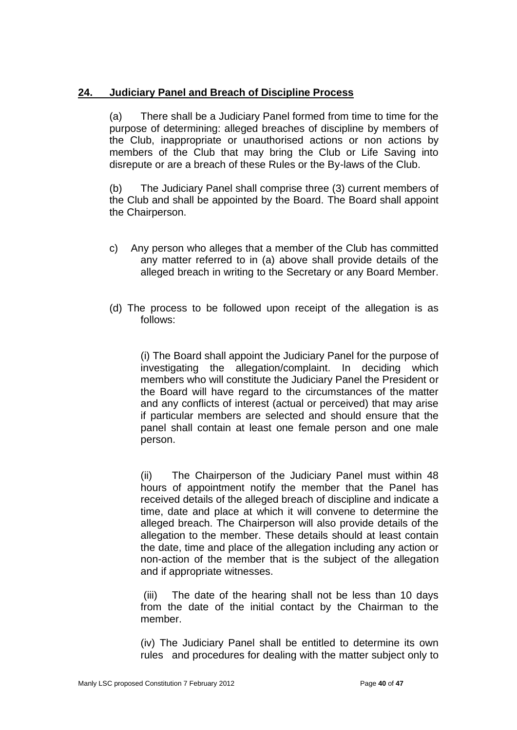# **24. Judiciary Panel and Breach of Discipline Process**

(a) There shall be a Judiciary Panel formed from time to time for the purpose of determining: alleged breaches of discipline by members of the Club, inappropriate or unauthorised actions or non actions by members of the Club that may bring the Club or Life Saving into disrepute or are a breach of these Rules or the By-laws of the Club.

(b) The Judiciary Panel shall comprise three (3) current members of the Club and shall be appointed by the Board. The Board shall appoint the Chairperson.

- c) Any person who alleges that a member of the Club has committed any matter referred to in (a) above shall provide details of the alleged breach in writing to the Secretary or any Board Member.
- (d) The process to be followed upon receipt of the allegation is as follows:

(i) The Board shall appoint the Judiciary Panel for the purpose of investigating the allegation/complaint. In deciding which members who will constitute the Judiciary Panel the President or the Board will have regard to the circumstances of the matter and any conflicts of interest (actual or perceived) that may arise if particular members are selected and should ensure that the panel shall contain at least one female person and one male person.

(ii) The Chairperson of the Judiciary Panel must within 48 hours of appointment notify the member that the Panel has received details of the alleged breach of discipline and indicate a time, date and place at which it will convene to determine the alleged breach. The Chairperson will also provide details of the allegation to the member. These details should at least contain the date, time and place of the allegation including any action or non-action of the member that is the subject of the allegation and if appropriate witnesses.

(iii) The date of the hearing shall not be less than 10 days from the date of the initial contact by the Chairman to the member.

(iv) The Judiciary Panel shall be entitled to determine its own rules and procedures for dealing with the matter subject only to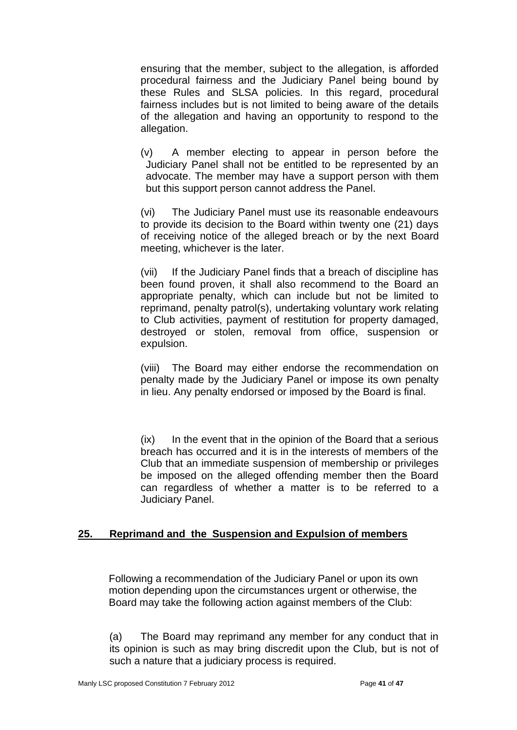ensuring that the member, subject to the allegation, is afforded procedural fairness and the Judiciary Panel being bound by these Rules and SLSA policies. In this regard, procedural fairness includes but is not limited to being aware of the details of the allegation and having an opportunity to respond to the allegation.

(v) A member electing to appear in person before the Judiciary Panel shall not be entitled to be represented by an advocate. The member may have a support person with them but this support person cannot address the Panel.

(vi) The Judiciary Panel must use its reasonable endeavours to provide its decision to the Board within twenty one (21) days of receiving notice of the alleged breach or by the next Board meeting, whichever is the later.

(vii) If the Judiciary Panel finds that a breach of discipline has been found proven, it shall also recommend to the Board an appropriate penalty, which can include but not be limited to reprimand, penalty patrol(s), undertaking voluntary work relating to Club activities, payment of restitution for property damaged, destroyed or stolen, removal from office, suspension or expulsion.

(viii) The Board may either endorse the recommendation on penalty made by the Judiciary Panel or impose its own penalty in lieu. Any penalty endorsed or imposed by the Board is final.

(ix) In the event that in the opinion of the Board that a serious breach has occurred and it is in the interests of members of the Club that an immediate suspension of membership or privileges be imposed on the alleged offending member then the Board can regardless of whether a matter is to be referred to a Judiciary Panel.

# **25. Reprimand and the Suspension and Expulsion of members**

Following a recommendation of the Judiciary Panel or upon its own motion depending upon the circumstances urgent or otherwise, the Board may take the following action against members of the Club:

(a) The Board may reprimand any member for any conduct that in its opinion is such as may bring discredit upon the Club, but is not of such a nature that a judiciary process is required.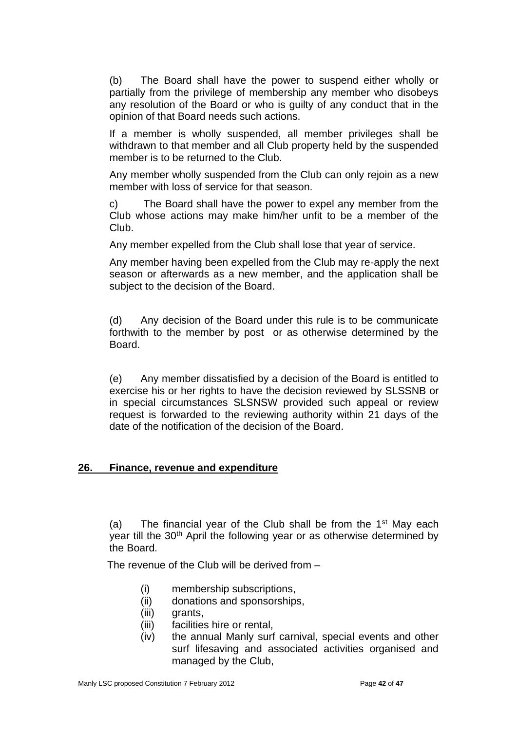(b) The Board shall have the power to suspend either wholly or partially from the privilege of membership any member who disobeys any resolution of the Board or who is guilty of any conduct that in the opinion of that Board needs such actions.

If a member is wholly suspended, all member privileges shall be withdrawn to that member and all Club property held by the suspended member is to be returned to the Club.

Any member wholly suspended from the Club can only rejoin as a new member with loss of service for that season.

c) The Board shall have the power to expel any member from the Club whose actions may make him/her unfit to be a member of the Club.

Any member expelled from the Club shall lose that year of service.

Any member having been expelled from the Club may re-apply the next season or afterwards as a new member, and the application shall be subject to the decision of the Board.

(d) Any decision of the Board under this rule is to be communicate forthwith to the member by post or as otherwise determined by the Board.

(e) Any member dissatisfied by a decision of the Board is entitled to exercise his or her rights to have the decision reviewed by SLSSNB or in special circumstances SLSNSW provided such appeal or review request is forwarded to the reviewing authority within 21 days of the date of the notification of the decision of the Board.

# **26. Finance, revenue and expenditure**

(a) The financial year of the Club shall be from the  $1<sup>st</sup>$  May each year till the 30<sup>th</sup> April the following year or as otherwise determined by the Board.

The revenue of the Club will be derived from –

- (i) membership subscriptions,
- (ii) donations and sponsorships,
- (iii) grants,
- (iii) facilities hire or rental,
- (iv) the annual Manly surf carnival, special events and other surf lifesaving and associated activities organised and managed by the Club,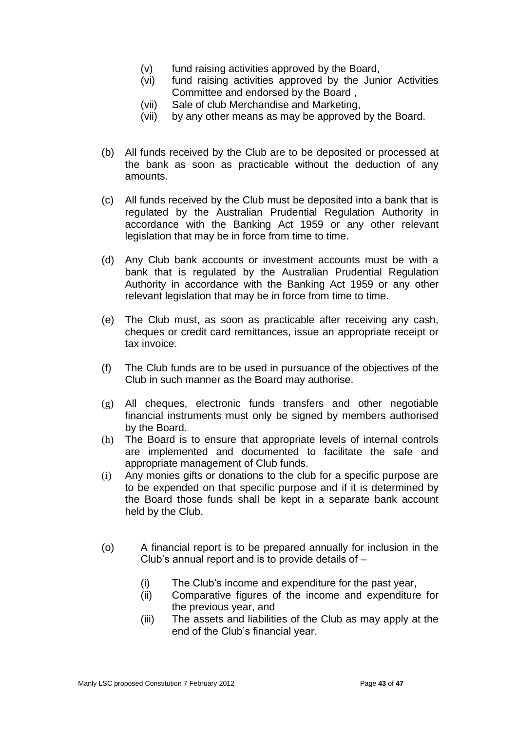- (v) fund raising activities approved by the Board,
- (vi) fund raising activities approved by the Junior Activities Committee and endorsed by the Board ,
- (vii) Sale of club Merchandise and Marketing,
- (vii) by any other means as may be approved by the Board.
- (b) All funds received by the Club are to be deposited or processed at the bank as soon as practicable without the deduction of any amounts.
- (c) All funds received by the Club must be deposited into a bank that is regulated by the Australian Prudential Regulation Authority in accordance with the Banking Act 1959 or any other relevant legislation that may be in force from time to time.
- (d) Any Club bank accounts or investment accounts must be with a bank that is regulated by the Australian Prudential Regulation Authority in accordance with the Banking Act 1959 or any other relevant legislation that may be in force from time to time.
- (e) The Club must, as soon as practicable after receiving any cash, cheques or credit card remittances, issue an appropriate receipt or tax invoice.
- (f) The Club funds are to be used in pursuance of the objectives of the Club in such manner as the Board may authorise.
- (g) All cheques, electronic funds transfers and other negotiable financial instruments must only be signed by members authorised by the Board.
- (h) The Board is to ensure that appropriate levels of internal controls are implemented and documented to facilitate the safe and appropriate management of Club funds.
- (i) Any monies gifts or donations to the club for a specific purpose are to be expended on that specific purpose and if it is determined by the Board those funds shall be kept in a separate bank account held by the Club.
- (o) A financial report is to be prepared annually for inclusion in the Club's annual report and is to provide details of –
	- (i) The Club's income and expenditure for the past year,
	- (ii) Comparative figures of the income and expenditure for the previous year, and
	- (iii) The assets and liabilities of the Club as may apply at the end of the Club's financial year.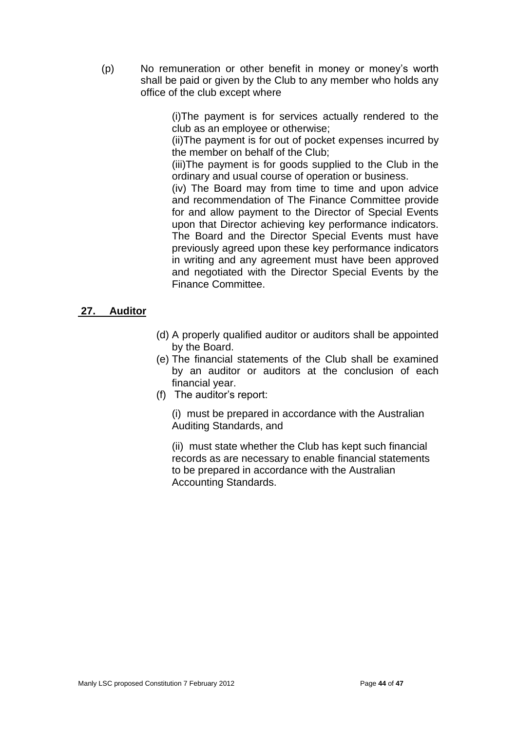(p) No remuneration or other benefit in money or money's worth shall be paid or given by the Club to any member who holds any office of the club except where

> (i)The payment is for services actually rendered to the club as an employee or otherwise;

> (ii)The payment is for out of pocket expenses incurred by the member on behalf of the Club;

> (iii)The payment is for goods supplied to the Club in the ordinary and usual course of operation or business.

> (iv) The Board may from time to time and upon advice and recommendation of The Finance Committee provide for and allow payment to the Director of Special Events upon that Director achieving key performance indicators. The Board and the Director Special Events must have previously agreed upon these key performance indicators in writing and any agreement must have been approved and negotiated with the Director Special Events by the Finance Committee.

# **27. Auditor**

- (d) A properly qualified auditor or auditors shall be appointed by the Board.
- (e) The financial statements of the Club shall be examined by an auditor or auditors at the conclusion of each financial year.
- (f) The auditor's report:

(i) must be prepared in accordance with the Australian Auditing Standards, and

(ii) must state whether the Club has kept such financial records as are necessary to enable financial statements to be prepared in accordance with the Australian Accounting Standards.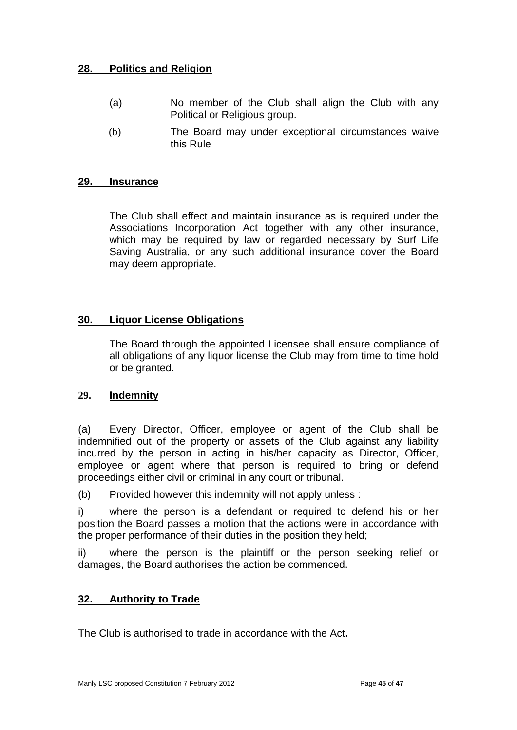# **28. Politics and Religion**

- (a) No member of the Club shall align the Club with any Political or Religious group.
- (b) The Board may under exceptional circumstances waive this Rule

# **29. Insurance**

The Club shall effect and maintain insurance as is required under the Associations Incorporation Act together with any other insurance, which may be required by law or regarded necessary by Surf Life Saving Australia, or any such additional insurance cover the Board may deem appropriate.

# **30. Liquor License Obligations**

The Board through the appointed Licensee shall ensure compliance of all obligations of any liquor license the Club may from time to time hold or be granted.

# **29. Indemnity**

(a) Every Director, Officer, employee or agent of the Club shall be indemnified out of the property or assets of the Club against any liability incurred by the person in acting in his/her capacity as Director, Officer, employee or agent where that person is required to bring or defend proceedings either civil or criminal in any court or tribunal.

(b) Provided however this indemnity will not apply unless :

i) where the person is a defendant or required to defend his or her position the Board passes a motion that the actions were in accordance with the proper performance of their duties in the position they held;

ii) where the person is the plaintiff or the person seeking relief or damages, the Board authorises the action be commenced.

# **32. Authority to Trade**

The Club is authorised to trade in accordance with the Act**.**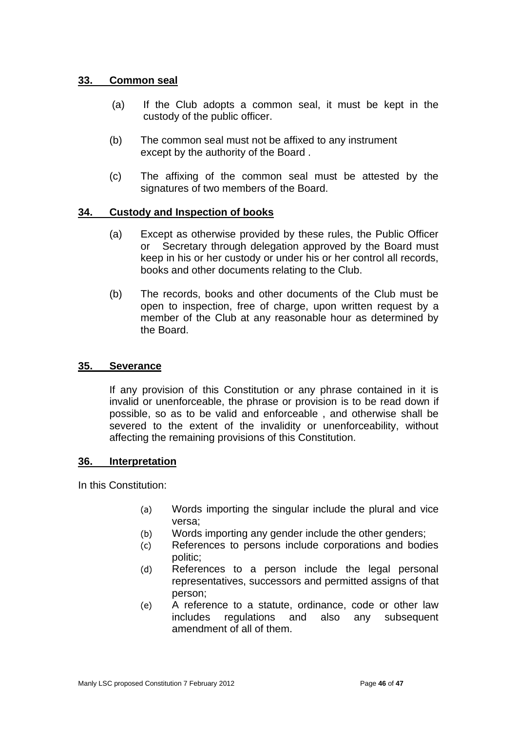# **33. Common seal**

- (a) If the Club adopts a common seal, it must be kept in the custody of the public officer.
- (b) The common seal must not be affixed to any instrument except by the authority of the Board .
- (c) The affixing of the common seal must be attested by the signatures of two members of the Board.

# **34. Custody and Inspection of books**

- (a) Except as otherwise provided by these rules, the Public Officer or Secretary through delegation approved by the Board must keep in his or her custody or under his or her control all records, books and other documents relating to the Club.
- (b) The records, books and other documents of the Club must be open to inspection, free of charge, upon written request by a member of the Club at any reasonable hour as determined by the Board.

# **35. Severance**

If any provision of this Constitution or any phrase contained in it is invalid or unenforceable, the phrase or provision is to be read down if possible, so as to be valid and enforceable , and otherwise shall be severed to the extent of the invalidity or unenforceability, without affecting the remaining provisions of this Constitution.

#### **36. Interpretation**

In this Constitution:

- (a) Words importing the singular include the plural and vice versa;
- (b) Words importing any gender include the other genders;
- (c) References to persons include corporations and bodies politic;
- (d) References to a person include the legal personal representatives, successors and permitted assigns of that person;
- (e) A reference to a statute, ordinance, code or other law includes regulations and also any subsequent amendment of all of them.